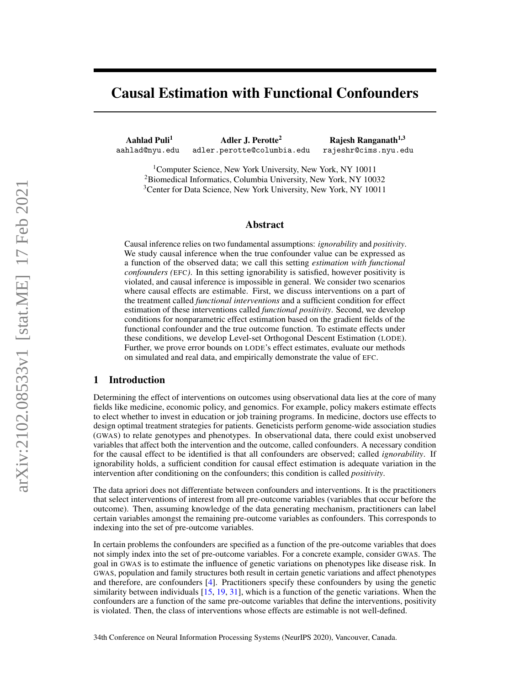# Causal Estimation with Functional Confounders

Aahlad Puli<sup>1</sup> Adler J. Perotte<sup>2</sup> Rajesh Ranganath<sup>1,3</sup> aahlad@nyu.edu adler.perotte@columbia.edu rajeshr@cims.nyu.edu

<sup>1</sup>Computer Science, New York University, New York, NY 10011 <sup>2</sup>Biomedical Informatics, Columbia University, New York, NY 10032 <sup>3</sup> Center for Data Science, New York University, New York, NY 10011

## Abstract

Causal inference relies on two fundamental assumptions: *ignorability* and *positivity*. We study causal inference when the true confounder value can be expressed as a function of the observed data; we call this setting *estimation with functional confounders (*EFC*)*. In this setting ignorability is satisfied, however positivity is violated, and causal inference is impossible in general. We consider two scenarios where causal effects are estimable. First, we discuss interventions on a part of the treatment called *functional interventions* and a sufficient condition for effect estimation of these interventions called *functional positivity*. Second, we develop conditions for nonparametric effect estimation based on the gradient fields of the functional confounder and the true outcome function. To estimate effects under these conditions, we develop Level-set Orthogonal Descent Estimation (LODE). Further, we prove error bounds on LODE's effect estimates, evaluate our methods on simulated and real data, and empirically demonstrate the value of EFC.

## 1 Introduction

Determining the effect of interventions on outcomes using observational data lies at the core of many fields like medicine, economic policy, and genomics. For example, policy makers estimate effects to elect whether to invest in education or job training programs. In medicine, doctors use effects to design optimal treatment strategies for patients. Geneticists perform genome-wide association studies (GWAS) to relate genotypes and phenotypes. In observational data, there could exist unobserved variables that affect both the intervention and the outcome, called confounders. A necessary condition for the causal effect to be identified is that all confounders are observed; called *ignorability*. If ignorability holds, a sufficient condition for causal effect estimation is adequate variation in the intervention after conditioning on the confounders; this condition is called *positivity*.

The data apriori does not differentiate between confounders and interventions. It is the practitioners that select interventions of interest from all pre-outcome variables (variables that occur before the outcome). Then, assuming knowledge of the data generating mechanism, practitioners can label certain variables amongst the remaining pre-outcome variables as confounders. This corresponds to indexing into the set of pre-outcome variables.

In certain problems the confounders are specified as a function of the pre-outcome variables that does not simply index into the set of pre-outcome variables. For a concrete example, consider GWAS. The goal in GWAS is to estimate the influence of genetic variations on phenotypes like disease risk. In GWAS, population and family structures both result in certain genetic variations and affect phenotypes and therefore, are confounders [\[4\]](#page-9-0). Practitioners specify these confounders by using the genetic similarity between individuals [\[15,](#page-10-0) [19,](#page-10-1) [31\]](#page-10-2), which is a function of the genetic variations. When the confounders are a function of the same pre-outcome variables that define the interventions, positivity is violated. Then, the class of interventions whose effects are estimable is not well-defined.

34th Conference on Neural Information Processing Systems (NeurIPS 2020), Vancouver, Canada.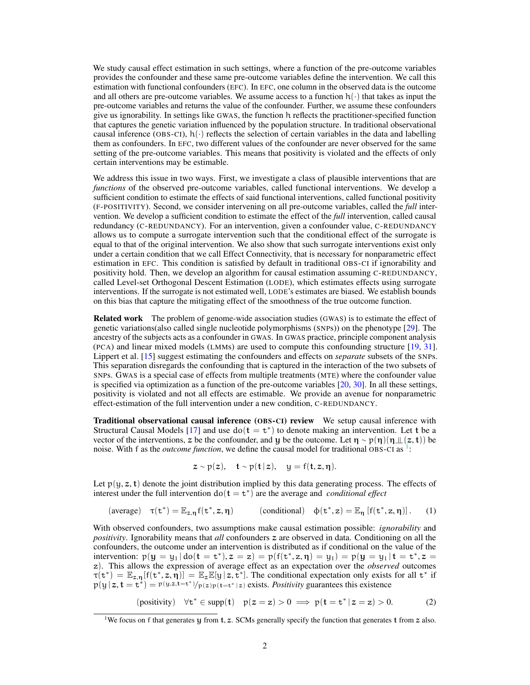We study causal effect estimation in such settings, where a function of the pre-outcome variables provides the confounder and these same pre-outcome variables define the intervention. We call this estimation with functional confounders (EFC). In EFC, one column in the observed data is the outcome and all others are pre-outcome variables. We assume access to a function  $h(\cdot)$  that takes as input the pre-outcome variables and returns the value of the confounder. Further, we assume these confounders give us ignorability. In settings like GWAS, the function h reflects the practitioner-specified function that captures the genetic variation influenced by the population structure. In traditional observational causal inference (OBS-CI),  $h(\cdot)$  reflects the selection of certain variables in the data and labelling them as confounders. In EFC, two different values of the confounder are never observed for the same setting of the pre-outcome variables. This means that positivity is violated and the effects of only certain interventions may be estimable.

We address this issue in two ways. First, we investigate a class of plausible interventions that are *functions* of the observed pre-outcome variables, called functional interventions. We develop a sufficient condition to estimate the effects of said functional interventions, called functional positivity (F-POSITIVITY). Second, we consider intervening on all pre-outcome variables, called the *full* intervention. We develop a sufficient condition to estimate the effect of the *full* intervention, called causal redundancy (C-REDUNDANCY). For an intervention, given a confounder value, C-REDUNDANCY allows us to compute a surrogate intervention such that the conditional effect of the surrogate is equal to that of the original intervention. We also show that such surrogate interventions exist only under a certain condition that we call Effect Connectivity, that is necessary for nonparametric effect estimation in EFC. This condition is satisfied by default in traditional OBS-CI if ignorability and positivity hold. Then, we develop an algorithm for causal estimation assuming C-REDUNDANCY, called Level-set Orthogonal Descent Estimation (LODE), which estimates effects using surrogate interventions. If the surrogate is not estimated well, LODE's estimates are biased. We establish bounds on this bias that capture the mitigating effect of the smoothness of the true outcome function.

Related work The problem of genome-wide association studies (GWAS) is to estimate the effect of genetic variations(also called single nucleotide polymorphisms (SNPs)) on the phenotype [\[29\]](#page-10-3). The ancestry of the subjects acts as a confounder in GWAS. In GWAS practice, principle component analysis (PCA) and linear mixed models (LMMs) are used to compute this confounding structure [\[19,](#page-10-1) [31\]](#page-10-2). Lippert et al. [\[15\]](#page-10-0) suggest estimating the confounders and effects on *separate* subsets of the SNPs. This separation disregards the confounding that is captured in the interaction of the two subsets of SNPs. GWAS is a special case of effects from multiple treatments (MTE) where the confounder value is specified via optimization as a function of the pre-outcome variables  $[20, 30]$  $[20, 30]$  $[20, 30]$ . In all these settings, positivity is violated and not all effects are estimable. We provide an avenue for nonparametric effect-estimation of the full intervention under a new condition, C-REDUNDANCY.

Traditional observational causal inference (OBS-CI) review We setup causal inference with Structural Causal Models [\[17\]](#page-10-6) and use  $do(t = t^*)$  to denote making an intervention. Let t be a vector of the interventions, z be the confounder, and y be the outcome. Let  $\eta \sim p(\eta)(\eta \perp (z, t))$  be noise. With f as the *outcome function*, we define the causal model for traditional OBS-CI as <sup>[1](#page-1-0)</sup>:

$$
z \sim p(z), \quad t \sim p(t|z), \quad y = f(t, z, \eta).
$$

Let  $p(y, z, t)$  denote the joint distribution implied by this data generating process. The effects of interest under the full intervention  $do(t = t^*)$  are the average and *conditional effect* 

$$
(\text{average}) \quad \tau(\mathbf{t}^*) = \mathbb{E}_{z,\eta} f(\mathbf{t}^*, z, \eta) \qquad \qquad (\text{conditional}) \quad \varphi(\mathbf{t}^*, z) = \mathbb{E}_{\eta} [f(\mathbf{t}^*, z, \eta)]. \qquad (1)
$$

With observed confounders, two assumptions make causal estimation possible: *ignorability* and *positivity*. Ignorability means that *all* confounders z are observed in data. Conditioning on all the confounders, the outcome under an intervention is distributed as if conditional on the value of the intervention:  $p(y = y_1 | do(t = t^*), z = z) = p(f(t^*, z, \eta) = y_1) = p(y = y_1 | t = t^*, z = z)$ z). This allows the expression of average effect as an expectation over the *observed* outcomes  $\tau(t^*) = \mathbb{E}_{z,\eta}[f(t^*, z, \eta)] = \mathbb{E}_z \mathbb{E}[y | z, t^*]$ . The conditional expectation only exists for all  $t^*$  if  $p(y | z, t = t^*) = p(y, z, t = t^*)/p(z)p(t = t^* | z)$  exists. *Positivity* guarantees this existence

(positivity)  $\forall t^* \in \text{supp}(t) \quad p(z = z) > 0 \implies p(t = t^* | z = z) > 0.$  (2)

<span id="page-1-0"></span><sup>&</sup>lt;sup>1</sup>We focus on f that generates y from t, z. SCMs generally specify the function that generates t from z also.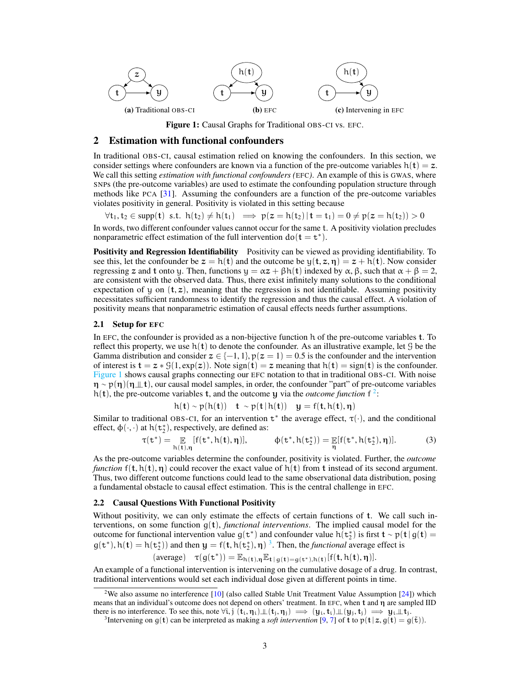<span id="page-2-0"></span>

Figure 1: Causal Graphs for Traditional OBS-CI vs. EFC.

### 2 Estimation with functional confounders

In traditional OBS-CI, causal estimation relied on knowing the confounders. In this section, we consider settings where confounders are known via a function of the pre-outcome variables  $h(t) = z$ . We call this setting *estimation with functional confounders (*EFC*)*. An example of this is GWAS, where SNPs (the pre-outcome variables) are used to estimate the confounding population structure through methods like PCA [\[31\]](#page-10-2). Assuming the confounders are a function of the pre-outcome variables violates positivity in general. Positivity is violated in this setting because

 $\forall t_1, t_2 \in \text{supp}(\mathbf{t}) \text{ s.t. } h(t_2) \neq h(t_1) \implies p(z = h(t_2)) \mathbf{t} = t_1) = 0 \neq p(z = h(t_2)) > 0$ In words, two different confounder values cannot occur for the same t. A positivity violation precludes nonparametric effect estimation of the full intervention  $do(t = t^*)$ .

Positivity and Regression Identifiability Positivity can be viewed as providing identifiability. To see this, let the confounder be  $z = h(t)$  and the outcome be  $y(t, z, \eta) = z + h(t)$ . Now consider regressing z and t onto y. Then, functions  $y = \alpha z + \beta h(t)$  indexed by α,  $\beta$ , such that  $\alpha + \beta = 2$ , are consistent with the observed data. Thus, there exist infinitely many solutions to the conditional expectation of y on  $(t, z)$ , meaning that the regression is not identifiable. Assuming positivity necessitates sufficient randomness to identify the regression and thus the causal effect. A violation of positivity means that nonparametric estimation of causal effects needs further assumptions.

#### 2.1 Setup for EFC

In EFC, the confounder is provided as a non-bijective function h of the pre-outcome variables t. To reflect this property, we use  $h(t)$  to denote the confounder. As an illustrative example, let G be the Gamma distribution and consider  $z \in \{-1, 1\}$ ,  $p(z = 1) = 0.5$  is the confounder and the intervention of interest is  $\mathbf{t} = z * \mathcal{G}(1, \exp(z))$ . Note sign( $\mathbf{t}$ ) = z meaning that  $h(\mathbf{t}) = \text{sign}(\mathbf{t})$  is the confounder. [Figure 1](#page-2-0) shows causal graphs connecting our EFC notation to that in traditional OBS-CI. With noise  $\eta \sim p(\eta)(\eta \perp \! \! \perp t)$ , our causal model samples, in order, the confounder "part" of pre-outcome variables h(t), the pre-outcome variables t, and the outcome y via the *outcome function*  $f^2$  $f^2$ :

$$
h(\mathbf{t}) \sim p(h(\mathbf{t})) \quad \mathbf{t} \sim p(\mathbf{t} | h(\mathbf{t})) \quad \mathbf{y} = f(\mathbf{t}, h(\mathbf{t}), \boldsymbol{\eta})
$$

Similar to traditional OBS-CI, for an intervention  $t^*$  the average effect,  $\tau(\cdot)$ , and the conditional effect,  $\phi(\cdot, \cdot)$  at  $h(\tau_2^*)$ , respectively, are defined as:

$$
\tau(\mathtt{t}^*) = \mathop{\mathbb{E}}_{h(\mathtt{t}),\eta} [f(\mathtt{t}^*,h(\mathtt{t}),\eta)], \qquad \varphi(\mathtt{t}^*,h(\mathtt{t}^*_2)) = \mathop{\mathbb{E}}_{\eta} [f(\mathtt{t}^*,h(\mathtt{t}^*_2),\eta)]. \qquad \qquad (3)
$$

As the pre-outcome variables determine the confounder, positivity is violated. Further, the *outcome function*  $f(t, h(t), \eta)$  could recover the exact value of  $h(t)$  from t instead of its second argument. Thus, two different outcome functions could lead to the same observational data distribution, posing a fundamental obstacle to causal effect estimation. This is the central challenge in EFC.

#### 2.2 Causal Questions With Functional Positivity

Without positivity, we can only estimate the effects of certain functions of t. We call such interventions, on some function  $g(t)$ , *functional interventions*. The implied causal model for the outcome for functional intervention value  $g(t^*)$  and confounder value  $h(t^*)$  is first  $t \sim p(t | g(t))$  $g(t^*)$ ,  $h(t) = h(t_2^*)$  and then  $y = f(t, h(t_2^*), \eta)^3$  $y = f(t, h(t_2^*), \eta)^3$ . Then, the *functional* average effect is

 $(\text{average}) \quad \tau(g(\mathbf{t}^*)) = \mathbb{E}_{h(\mathbf{t}), \eta} \mathbb{E}_{\mathbf{t} | g(\mathbf{t}) = g(\mathbf{t}^*), h(\mathbf{t})} [f(\mathbf{t}, h(\mathbf{t}), \eta)].$ 

An example of a functional intervention is intervening on the cumulative dosage of a drug. In contrast, traditional interventions would set each individual dose given at different points in time.

<span id="page-2-1"></span><sup>&</sup>lt;sup>2</sup>We also assume no interference  $[10]$  (also called Stable Unit Treatment Value Assumption  $[24]$ ) which means that an individual's outcome does not depend on others' treatment. In EFC, when t and η are sampled IID there is no interference. To see this, note  $\forall i, j$   $(t_i, \eta_i) \bot\bot (t_j, \eta_j) \implies (y_i, t_i) \bot\bot (y_j, t_j) \implies y_i \bot\bot t_j$ .

<span id="page-2-2"></span><sup>&</sup>lt;sup>3</sup>Intervening on  $g(t)$  can be interpreted as making a *soft intervention* [\[9,](#page-9-2) [7\]](#page-9-3) of t to  $p(t|z, g(t) = g(\tilde{t}))$ .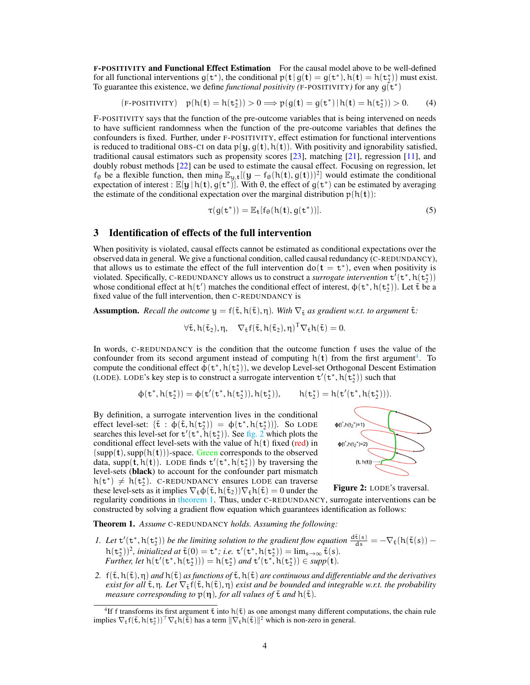F-POSITIVITY and Functional Effect Estimation For the causal model above to be well-defined for all functional interventions  $g(t^*)$ , the conditional  $p(t | g(t) = g(t^*)$ ,  $h(t) = h(t^*)$  must exist. To guarantee this existence, we define *functional positivity* (F-POSITIVITY) for any  $g(t^*)$ 

$$
(\text{F-POSITIVITY})\quad p(h(\mathbf{t})=h(\mathtt{t}^*_2))>0\Longrightarrow p(g(\mathbf{t})=g(\mathtt{t}^*)\,|\,h(\mathbf{t})=h(\mathtt{t}^*_2))>0.\qquad \text{(4)}
$$

F-POSITIVITY says that the function of the pre-outcome variables that is being intervened on needs to have sufficient randomness when the function of the pre-outcome variables that defines the confounders is fixed. Further, under F-POSITIVITY, effect estimation for functional interventions is reduced to traditional OBS-CI on data  $p(y, g(t), h(t))$ . With positivity and ignorability satisfied, traditional causal estimators such as propensity scores [\[23\]](#page-10-8), matching [\[21\]](#page-10-9), regression [\[11\]](#page-9-4), and doubly robust methods [\[22\]](#page-10-10) can be used to estimate the causal effect. Focusing on regression, let  $f_{\theta}$  be a flexible function, then min<sub> $\theta$ </sub>  $\mathbb{E}_{y,t}[(y - f_{\theta}(h(t), g(t)))^2]$  would estimate the conditional expectation of interest :  $\mathbb{E}[\mathbf{y} | h(\mathbf{t}), g(\mathbf{t}^*)]$ . With  $\theta$ , the effect of  $g(\mathbf{t}^*)$  can be estimated by averaging the estimate of the conditional expectation over the marginal distribution  $p(h(t))$ :

$$
\tau(g(\mathbf{t}^*)) = \mathbb{E}_{\mathbf{t}}[f_{\theta}(h(\mathbf{t}), g(\mathbf{t}^*))]. \tag{5}
$$

## 3 Identification of effects of the full intervention

When positivity is violated, causal effects cannot be estimated as conditional expectations over the observed data in general. We give a functional condition, called causal redundancy (C-REDUNDANCY), that allows us to estimate the effect of the full intervention  $do(t = t^*)$ , even when positivity is violated. Specifically, C-REDUNDANCY allows us to construct a *surrogate intervention*  $\mathbf{t}^{7}(\mathbf{t}^*, \mathbf{h}(\mathbf{t}^*_{2}))$ whose conditional effect at  $h(t')$  matches the conditional effect of interest,  $\phi(t^*, h(t_2^*))$ . Let  $\tilde{t}$  be a fixed value of the full intervention, then C-REDUNDANCY is

**Assumption.** *Recall the outcome*  $y = f(\tilde{t}, h(\tilde{t}), \eta)$ *. With*  $\nabla_{\tilde{t}}$  *as gradient w.r.t. to argument*  $\tilde{t}$ *:* 

 $\forall \tilde{\tau}, h(\tilde{\tau}_2), \eta, \quad \nabla_{\tilde{\tau}} f(\tilde{\tau}, h(\tilde{\tau}_2), \eta)^T \nabla_{\tilde{\tau}} h(\tilde{\tau}) = 0.$ 

In words, C-REDUNDANCY is the condition that the outcome function f uses the value of the confounder from its second argument instead of computing  $h(t)$  from the first argument<sup>[4](#page-3-0)</sup>. To compute the conditional effect  $\tilde{\phi}(\mathsf{t}^*, \mathsf{h}(\mathsf{t}_2^*))$ , we develop Level-set Orthogonal Descent Estimation (LODE). LODE's key step is to construct a surrogate intervention  $t'(t^*, h(t^*_{2}))$  such that

$$
\varphi(\mathtt{t}^*,h(\mathtt{t}^*_2)) = \varphi(\mathtt{t}'(\mathtt{t}^*,h(\mathtt{t}^*_2)),h(\mathtt{t}^*_2)), \qquad h(\mathtt{t}^*_2) = h(\mathtt{t}'(\mathtt{t}^*,h(\mathtt{t}^*_2))).
$$

By definition, a surrogate intervention lives in the conditional effect level-set:  $\{\tilde{\mathbf{t}} : \boldsymbol{\phi}(\tilde{\mathbf{t}}, h(\mathbf{t}_2^*)) = \boldsymbol{\phi}(\mathbf{t}^*, h(\mathbf{t}_2^*))\}$ . So LODE searches this level-set for  $t'(t^*, \bar{h}(t^*))$ . See [fig. 2](#page-3-1) which plots the conditional effect level-sets with the value of  $h(t)$  fixed (red) in  $(supp(t), supp(h(t)))$ -space. Green corresponds to the observed data, supp $(\mathbf{t}, \mathbf{h}(\mathbf{t}))$ . LODE finds  $\mathbf{t}'(\mathbf{t}^*, \mathbf{h}(\mathbf{t}_2^*))$  by traversing the level-sets (black) to account for the confounder part mismatch  $h(t^*) \neq h(t_2^*)$ . C-REDUNDANCY ensures LODE can traverse these level-sets as it implies  $\nabla_{\tilde{\tau}} \phi(\tilde{\tau}, h(\tilde{\tau}_2)) \nabla_{\tilde{\tau}} h(\tilde{\tau}) = 0$  under the



<span id="page-3-1"></span>

regularity conditions in [theorem 1.](#page-3-2) Thus, under C-REDUNDANCY, surrogate interventions can be constructed by solving a gradient flow equation which guarantees identification as follows:

<span id="page-3-2"></span>Theorem 1. *Assume* C-REDUNDANCY *holds. Assuming the following:*

- *1.* Let  $t'(t^*, h(t^*_{2}))$  be the limiting solution to the gradient flow equation  $\frac{d\tilde{t}(s)}{ds} = -\nabla_{\tilde{t}}(h(\tilde{t}(s))$  $h(t_2^*)^2$ , *initialized at*  $\tilde{t}(0) = t^*$ ; *i.e.*  $t'(t^*, h(t_2^*)) = \lim_{s \to \infty} \tilde{t}(s)$ .<br>Further little  $(t/(t^*, h(t^*))) = h(t^*)$ , and  $t/(t^*, h(t^*)) \in \text{sym}(t)$ . *Further, let*  $h(t'(t^*, h(t^*_2))) = h(t^*_2)$  *and*  $t'(t^*, h(t^*_2)) \in supp(t)$ *.*
- 2.  $f(\tilde{t}, h(\tilde{t}), \eta)$  *and*  $h(\tilde{t})$  *as functions of*  $\tilde{t}, h(\tilde{t})$  *are continuous and differentiable and the derivatives exist for all*  $\tilde{\tau}$ ,  $\eta$ . Let  $\nabla_{\tilde{\tau}} f(\tilde{\tau}, h(\tilde{\tau}), \eta)$  *exist and be bounded and integrable w.r.t. the probability measure corresponding to*  $p(\eta)$ *, for all values of*  $\tilde{t}$  *and*  $h(\tilde{t})$ *.*

<span id="page-3-0"></span> ${}^{4}$ If f transforms its first argument  $\tilde{t}$  into  $h(\tilde{t})$  as one amongst many different computations, the chain rule implies  $\nabla_{\tilde{\mathbf{t}}} f(\tilde{\mathbf{t}}, h(\mathbf{t}_2^*))^\top \nabla_{\tilde{\mathbf{t}}} h(\tilde{\mathbf{t}})$  has a term  $\|\nabla_{\tilde{\mathbf{t}}} h(\tilde{\mathbf{t}})\|^2$  which is non-zero in general.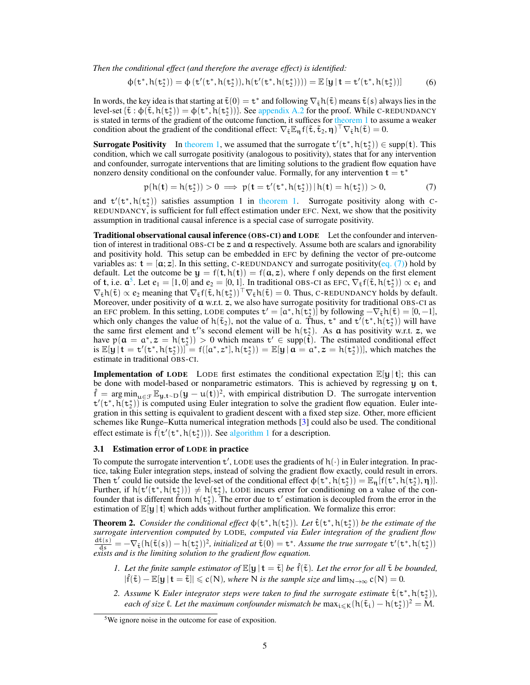*Then the conditional effect (and therefore the average effect) is identified:*

$$
\varphi(t^*,h(t_2^*))=\varphi\left(t'(t^*,h(t_2^*)),h(t'(t^*,h(t_2^*)))\right)=\mathbb{E}\left[y\,|\,t=t'(t^*,h(t_2^*))\right]\qquad \quad (6)
$$

In words, the key idea is that starting at  $\tilde{t}(0) = t^*$  and following  $\nabla_{\tilde{t}} h(\tilde{t})$  means  $\tilde{t}(s)$  always lies in the level-set  $\{\tilde{\mathbf{t}} : \varphi(\tilde{\mathbf{t}}, h(\mathbf{t}_2^*)) = \varphi(\mathbf{t}^*, h(\mathbf{t}_2^*))\}$ . See [appendix A.2](#page-11-0) for the proof. While C-REDUNDANCY is stated in terms of the gradient of the outcome function, it suffices for [theorem 1](#page-3-2) to assume a weaker condition about the gradient of the conditional effect:  $\nabla_{\tilde{\tau}} \mathbb{E}_{\eta} f(\tilde{\tau}, \tilde{\tau}_2, \eta)^\top \nabla_{\tilde{\tau}} h(\tilde{\tau}) = 0.$ 

**Surrogate Positivity** In [theorem 1,](#page-3-2) we assumed that the surrogate  $t'(t^*, h(t^*_{2})) \in \text{supp}(t)$ . This condition, which we call surrogate positivity (analogous to positivity), states that for any intervention and confounder, surrogate interventions that are limiting solutions to the gradient flow equation have nonzero density conditional on the confounder value. Formally, for any intervention  $t = t^*$ 

<span id="page-4-0"></span>
$$
p(h(t) = h(t_2^*)) > 0 \implies p(t = t'(t^*, h(t_2^*)) | h(t) = h(t_2^*)) > 0,
$$
 (7)

and  $t'(t^*, h(t^*_{2}))$  satisfies assumption 1 in [theorem 1.](#page-3-2) Surrogate positivity along with C-REDUNDANCY, is sufficient for full effect estimation under EFC. Next, we show that the positivity assumption in traditional causal inference is a special case of surrogate positivity.

Traditional observational causal inference (OBS-CI) and LODE Let the confounder and intervention of interest in traditional OBS-CI be  $z$  and  $\alpha$  respectively. Assume both are scalars and ignorability and positivity hold. This setup can be embedded in EFC by defining the vector of pre-outcome variables as:  $\mathbf{t} = [\mathbf{a}; \mathbf{z}]$ . In this setting, C-REDUNDANCY and surrogate positivity[\(eq. \(7\)\)](#page-4-0) hold by default. Let the outcome be  $y = f(t, h(t)) = f(a, z)$ , where f only depends on the first element of **t**, i.e.  $\mathfrak{a}^5$  $\mathfrak{a}^5$ . Let  $e_1 = [1, 0]$  and  $e_2 = [0, 1]$ . In traditional OBS-CI as EFC,  $\nabla_{\tilde{\tau}} f(\tilde{\tau}, h(\tau_2^*)) \propto e_1$  and  $\nabla_{\tilde{\mathbf{t}}} h(\tilde{\mathbf{t}}) \propto e_2$  meaning that  $\nabla_{\tilde{\mathbf{t}}} f(\tilde{\mathbf{t}}, h(\mathbf{t}_2^*))^\top \nabla_{\tilde{\mathbf{t}}} h(\tilde{\mathbf{t}}) = 0$ . Thus, C-REDUNDANCY holds by default. Moreover, under positivity of  $a$  w.r.t.  $\overline{z}$ , we also have surrogate positivity for traditional OBS-CI as an EFC problem. In this setting, LODE computes  $t' = [a^*, h(t_2^*)]$  by following  $-\nabla_{\tilde{t}}h(\tilde{t}) = [0, -1]$ , which only changes the value of  $h(\tilde{t}_2)$ , not the value of a. Thus,  $t^*$  and  $t'(t^*, h(t^*)$  will have the same first element and t''s second element will be  $h(t_2^*)$ . As  $\alpha$  has positivity w.r.t. z, we have  $p(a = a^*, z = h(t_2^*)) > 0$  which means  $t' \in \text{supp}(\hat{t})$ . The estimated conditional effect is  $\mathbb{E}[\mathbf{y} | \mathbf{t} = \mathbf{t}'(\mathbf{t}^*, \mathbf{h}(\mathbf{t}_2^*))^2 = f([\mathbf{a}^*, \mathbf{z}^*], \mathbf{h}(\mathbf{t}_2^*)) = \mathbb{E}[\mathbf{y} | \mathbf{a} = \mathbf{a}^*, \mathbf{z} = \mathbf{h}(\mathbf{t}_2^*)]$ , which matches the estimate in traditional OBS-CI.

**Implementation of LODE** LODE first estimates the conditional expectation  $\mathbb{E}[\mathbf{y} | \mathbf{t}]$ ; this can be done with model-based or nonparametric estimators. This is achieved by regressing y on t,  $\hat{f} = \arg \min_{u \in \mathcal{F}} \mathbb{E}_{y,t \sim D}(y - u(t))^2$ , with empirical distribution D. The surrogate intervention  $t'(t^*, h(t^*_{\underline{\tau}}))$  is computed using Euler integration to solve the gradient flow equation. Euler integration in this setting is equivalent to gradient descent with a fixed step size. Other, more efficient schemes like Runge–Kutta numerical integration methods [\[3\]](#page-9-5) could also be used. The conditional effect estimate is  $\tilde{f}(t'(t^*, h(t^*_{2})))$ . See [algorithm 1](#page-15-0) for a description.

#### <span id="page-4-3"></span>3.1 Estimation error of LODE in practice

To compute the surrogate intervention  $t'$ , LODE uses the gradients of  $h(\cdot)$  in Euler integration. In practice, taking Euler integration steps, instead of solving the gradient flow exactly, could result in errors. Then t' could lie outside the level-set of the conditional effect  $\phi(\mathbf{t}^*, h(\mathbf{t}_2^*)) = \mathbb{E}_{\eta} [f(\mathbf{t}^*, h(\mathbf{t}_2^*), \eta)].$ Further, if  $h(t'(t^*, h(t^*_{2}))) \neq h(t^*_{2}),$  LODE incurs error for conditioning on a value of the confounder that is different from  $h(t_2^*)$ . The error due to  $t'$  estimation is decoupled from the error in the estimation of  $\mathbb{E}[y | t]$  which adds without further amplification. We formalize this error:

<span id="page-4-2"></span>**Theorem 2.** *Consider the conditional effect*  $\phi(\mathsf{t}^*, h(\mathsf{t}_2^*))$ *. Let*  $\hat{\mathsf{t}}(\mathsf{t}^*, h(\mathsf{t}_2^*))$  *be the estimate of the surrogate intervention computed by* LODE*, computed via Euler integration of the gradient flow*  $\frac{d\tilde{t}(s)}{ds} = -\nabla_{\tilde{t}}(h(\tilde{t}(s)) - h(t_2^*))^2$ , initialized at  $\tilde{t}(0) = t^*$ . Assume the true surrogate  $t'(t^*, h(t_2^*))$ *exists and is the limiting solution to the gradient flow equation.*

- *1. Let the finite sample estimator of*  $\mathbb{E}[\mathbf{y} | \mathbf{t} = \tilde{\mathbf{t}}]$  *be*  $\hat{\mathbf{f}}(\tilde{\mathbf{t}})$ *. Let the error for all*  $\tilde{\mathbf{t}}$  *be bounded,*  $|\hat{f}(\tilde{\mathbf{t}}) - \mathbb{E}[\mathbf{y} | \mathbf{t} = \tilde{\mathbf{t}}]| \leqslant c(N)$ *, where* N *is the sample size and*  $\lim_{N \to \infty} c(N) = 0$ *.*
- 2. Assume K Euler integrator steps were taken to find the surrogate estimate  $\hat{\tau}(\tau^*, h(\tau^*_2))$ , *each of size*  $\ell$ . Let the maximum confounder mismatch be  $\max_{i \leq k} (h(\tilde{t}_i) - h(t_2^*))^2 = M$ .

<span id="page-4-1"></span><sup>5</sup>We ignore noise in the outcome for ease of exposition.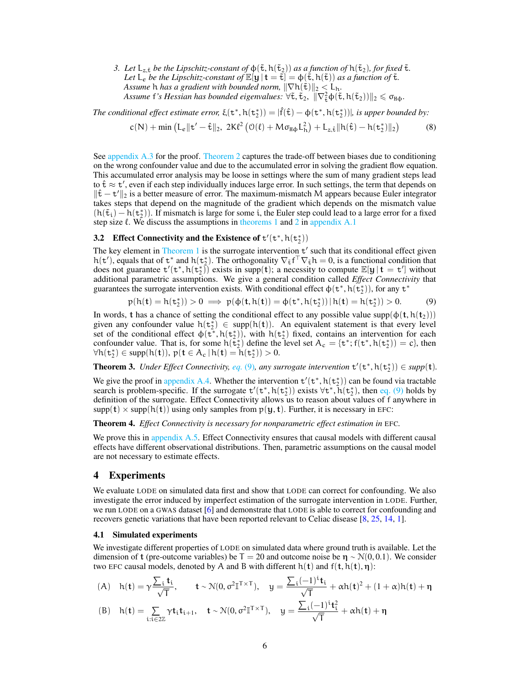*3. Let*  $L_{z,\tilde{t}}$  *be the Lipschitz-constant of*  $\varphi(\tilde{t}, h(\tilde{t}_2))$  *as a function of*  $h(\tilde{t}_2)$ *, for fixed*  $\tilde{t}$ *. Let*  $L_e$  *be the Lipschitz-constant of*  $\mathbb{E}[\mathbf{y} | \mathbf{t} = \tilde{\mathbf{t}}] = \phi(\tilde{\mathbf{t}}, h(\tilde{\mathbf{t}}))$  *as a function of*  $\tilde{\mathbf{t}}$ *. Assume* h *has a gradient with bounded norm,*  $\|\nabla h(\tilde{\tau})\|_2 < L_h$ .  $\Delta$ *ssume* f's Hessian has bounded eigenvalues:  $\forall \tilde{\tau}, \tilde{\tau}_2$ ,  $\|\nabla^2_{\tilde{\tau}} \varphi(\tilde{\tau}, h(\tilde{\tau}_2))\|_2 \leq \sigma_{\text{H}\varphi}$ .

The conditional effect estimate error,  $\xi(\textbf{t}^*,h(\textbf{t}_2^*))=|\hat{f}(\hat{\textbf{t}})-\phi(\textbf{t}^*,h(\textbf{t}_2^*))|$ , is upper bounded by:

$$
c(N) + \min \left( L_{\varepsilon} \| t' - \hat{t} \|_2, \ 2K\ell^2 \left( \mathcal{O}(\ell) + M \sigma_{H\varphi} L_h^2 \right) + L_{z,\hat{t}} \| h(\hat{t}) - h(t_2^*) \|_2 \right) \tag{8}
$$

See [appendix A.3](#page-12-0) for the proof. [Theorem 2](#page-4-2) captures the trade-off between biases due to conditioning on the wrong confounder value and due to the accumulated error in solving the gradient flow equation. This accumulated error analysis may be loose in settings where the sum of many gradient steps lead to  $\hat{\tau} \approx \tau'$ , even if each step individually induces large error. In such settings, the term that depends on  $\|\hat{\mathbf{t}} - \mathbf{t}'\|_2$  is a better measure of error. The maximum-mismatch M appears because Euler integrator takes steps that depend on the magnitude of the gradient which depends on the mismatch value  $(h(\tilde{t}_i) - h(t_2^*))$ . If mismatch is large for some i, the Euler step could lead to a large error for a fixed step size  $\ell$ . We discuss the assumptions in [theorems 1](#page-3-2) and [2](#page-4-2) in [appendix A.1](#page-11-1)

## **3.2** Effect Connectivity and the Existence of  $t'(t^*, h(t^*_{2}))$

The key element in [Theorem 1](#page-3-2) is the surrogate intervention  $t'$  such that its conditional effect given h(t'), equals that of  $t^*$  and  $h(t^*_{2})$ . The orthogonality  $\nabla_{\tilde{t}} f^{\top} \nabla_{\tilde{t}} h = 0$ , is a functional condition that does not guarantee  $t'(t^*, h(t_2))$  exists in supp(t); a necessity to compute  $\mathbb{E}[y | t = t']$  without additional parametric assumptions. We give a general condition called *Effect Connectivity* that guarantees the surrogate intervention exists. With conditional effect  $\phi(\mathbf{t}^*, h(\mathbf{t}_2^*))$ , for any  $\mathbf{t}^*$ 

<span id="page-5-0"></span>
$$
p(h(t) = h(t_2^*)) > 0 \implies p(\phi(t, h(t)) = \phi(t^*, h(t_2^*)) | h(t) = h(t_2^*)) > 0.
$$
 (9)

In words, t has a chance of setting the conditional effect to any possible value supp( $\phi(t, h(t_2))$ ) given any confounder value  $h(t_2^*) \in supp(h(t))$ . An equivalent statement is that every level set of the conditional effect  $\phi(\tau^*, h(\tau_2^*))$ , with  $h(\tau_2^*)$  fixed, contains an intervention for each confounder value. That is, for some  $h(\tilde{t}_2^*)$  define the level set  $A_c = {t^*; f(t^*, h(t_2^*)) = c}$ , then  $\forall h(\mathbf{t}_2^*) \in \text{supp}(h(\mathbf{t})), p(\mathbf{t} \in A_c \,|\, h(\mathbf{t}) = h(\mathbf{t}_2^*)) > 0.$ 

**Theorem 3.** *Under Effect Connectivity, [eq.](#page-5-0)* (9), any surrogate intervention  $t'(t^*, h(t^*_{2})) \in supp(t)$ .

We give the proof in [appendix A.4.](#page-14-0) Whether the intervention  $t'(t^*, h(t^*_{2}))$  can be found via tractable search is problem-specific. If the surrogate  $t'(t^*, h(t_2^*))$  exists  $\forall t^*, \bar{h}(t_2^*)$ , then [eq. \(9\)](#page-5-0) holds by definition of the surrogate. Effect Connectivity allows us to reason about values of f anywhere in  $supp(t) \times supp(h(t))$  using only samples from  $p(y, t)$ . Further, it is necessary in EFC:

<span id="page-5-2"></span>Theorem 4. *Effect Connectivity is necessary for nonparametric effect estimation in* EFC*.*

We prove this in [appendix A.5.](#page-14-1) Effect Connectivity ensures that causal models with different causal effects have different observational distributions. Then, parametric assumptions on the causal model are not necessary to estimate effects.

## <span id="page-5-1"></span>4 Experiments

We evaluate LODE on simulated data first and show that LODE can correct for confounding. We also investigate the error induced by imperfect estimation of the surrogate intervention in LODE. Further, we run LODE on a GWAS dataset [\[6\]](#page-9-6) and demonstrate that LODE is able to correct for confounding and recovers genetic variations that have been reported relevant to Celiac disease [\[8,](#page-9-7) [25,](#page-10-11) [14,](#page-10-12) [1\]](#page-9-8).

#### 4.1 Simulated experiments

We investigate different properties of LODE on simulated data where ground truth is available. Let the dimension of t (pre-outcome variables) be  $T = 20$  and outcome noise be  $\eta \sim \mathcal{N}(0, 0.1)$ . We consider two EFC causal models, denoted by A and B with different  $h(t)$  and  $f(t, h(t), \eta)$ :

(A) 
$$
h(t) = \gamma \frac{\sum_i t_i}{\sqrt{T}}
$$
,  $t \sim \mathcal{N}(0, \sigma^2 \mathbb{I}^{T \times T})$ ,  $y = \frac{\sum_i (-1)^i t_i}{\sqrt{T}} + \alpha h(t)^2 + (1 + \alpha) h(t) + \eta$   
\n(B)  $h(t) = \sum_{i:i \in 2\mathbb{Z}} \gamma t_i t_{i+1}$ ,  $t \sim \mathcal{N}(0, \sigma^2 \mathbb{I}^{T \times T})$ ,  $y = \frac{\sum_i (-1)^i t_i^2}{\sqrt{T}} + \alpha h(t) + \eta$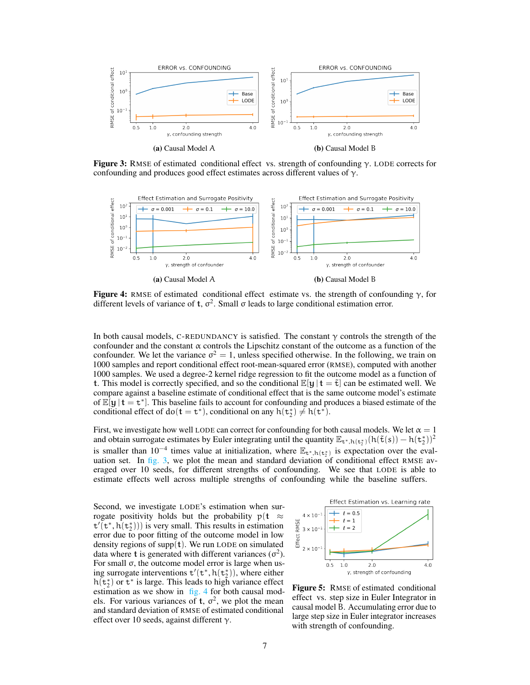<span id="page-6-0"></span>

Figure 3: RMSE of estimated conditional effect vs. strength of confounding γ. LODE corrects for confounding and produces good effect estimates across different values of  $\gamma$ .

<span id="page-6-1"></span>

**Figure 4:** RMSE of estimated conditional effect estimate vs. the strength of confounding  $\gamma$ , for different levels of variance of t,  $\sigma^2$ . Small  $\sigma$  leads to large conditional estimation error.

In both causal models, C-REDUNDANCY is satisfied. The constant  $\gamma$  controls the strength of the confounder and the constant  $\alpha$  controls the Lipschitz constant of the outcome as a function of the confounder. We let the variance  $\sigma^2 = 1$ , unless specified otherwise. In the following, we train on 1000 samples and report conditional effect root-mean-squared error (RMSE), computed with another 1000 samples. We used a degree-2 kernel ridge regression to fit the outcome model as a function of t. This model is correctly specified, and so the conditional  $\mathbb{E}[\mathbf{y} | \mathbf{t} = \tilde{\mathbf{t}}]$  can be estimated well. We compare against a baseline estimate of conditional effect that is the same outcome model's estimate of  $\mathbb{E}[y | t = t^*]$ . This baseline fails to account for confounding and produces a biased estimate of the conditional effect of  $do(t = t^*)$ , conditional on any  $h(t_2^*) \neq h(t^*)$ .

First, we investigate how well LODE can correct for confounding for both causal models. We let  $\alpha = 1$ and obtain surrogate estimates by Euler integrating until the quantity  $\mathbb{E}_{\mathbf{t}^*,h(\mathbf{t}_2^*)}(h(\tilde{\mathbf{t}}(s)) - h(\mathbf{t}_2^*))^2$ is smaller than  $10^{-4}$  times value at initialization, where  $\mathbb{E}_{t^*,h(t^*_{2})}$  is expectation over the evaluation set. In [fig. 3,](#page-6-0) we plot the mean and standard deviation of conditional effect RMSE averaged over 10 seeds, for different strengths of confounding. We see that LODE is able to estimate effects well across multiple strengths of confounding while the baseline suffers.

Second, we investigate LODE's estimation when surrogate positivity holds but the probability  $p(t \approx$  $t'$ ( $t^*, h(t_2^*))$ ) is very small. This results in estimation error due to poor fitting of the outcome model in low density regions of supp $(t)$ . We run LODE on simulated data where t is generated with different variances  $(\sigma^2)$ . For small σ, the outcome model error is large when using surrogate interventions  $t'(t^*, h(t^*_{2}))$ , where either  $h(t_2^*)$  or  $t^*$  is large. This leads to high variance effect estimation as we show in  $f_{1g}$ . 4 for both causal models. For various variances of t,  $\sigma^2$ , we plot the mean and standard deviation of RMSE of estimated conditional effect over 10 seeds, against different  $\gamma$ .



<span id="page-6-2"></span>Figure 5: RMSE of estimated conditional effect vs. step size in Euler Integrator in causal model B. Accumulating error due to large step size in Euler integrator increases with strength of confounding.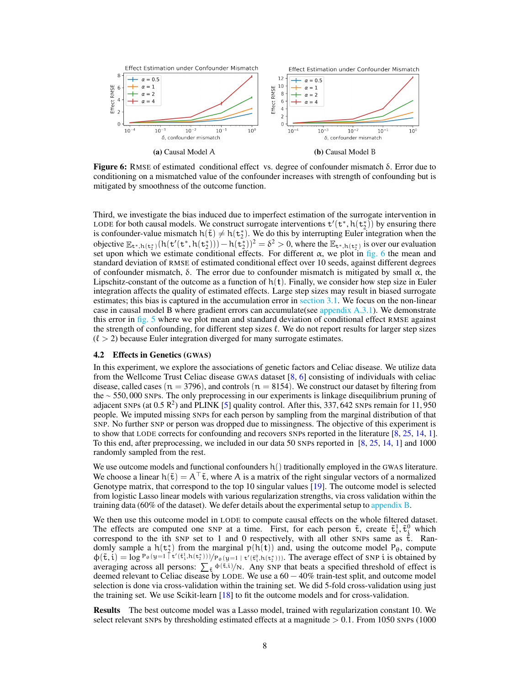<span id="page-7-0"></span>

**Figure 6:** RMSE of estimated conditional effect vs. degree of confounder mismatch  $\delta$ . Error due to conditioning on a mismatched value of the confounder increases with strength of confounding but is mitigated by smoothness of the outcome function.

Third, we investigate the bias induced due to imperfect estimation of the surrogate intervention in LODE for both causal models. We construct surrogate interventions  $t'(t^*, h(t^*_{2}))$  by ensuring there is confounder-value mismatch  $h(\tilde{t}) \neq h(t_2^*)$ . We do this by interrupting Euler integration when the objective  $\mathbb{E}_{\mathbf{t}^*,h(\mathbf{t}_2^*)}(h(\mathbf{t}'(\mathbf{t}^*,h(\mathbf{t}_2^*))) - h(\mathbf{t}_2^*)^2 = \delta^2 > 0$ , where the  $\mathbb{E}_{\mathbf{t}^*,h(\mathbf{t}_2^*)}$  is over our evaluation set upon which we estimate conditional effects. For different  $\alpha$ , we plot in [fig. 6](#page-7-0) the mean and standard deviation of RMSE of estimated conditional effect over 10 seeds, against different degrees of confounder mismatch,  $\delta$ . The error due to confounder mismatch is mitigated by small  $\alpha$ , the Lipschitz-constant of the outcome as a function of  $h(t)$ . Finally, we consider how step size in Euler integration affects the quality of estimated effects. Large step sizes may result in biased surrogate estimates; this bias is captured in the accumulation error in [section 3.1.](#page-4-3) We focus on the non-linear case in causal model B where gradient errors can accumulate(see [appendix A.3.1\)](#page-14-2). We demonstrate this error in [fig. 5](#page-6-2) where we plot mean and standard deviation of conditional effect RMSE against the strength of confounding, for different step sizes  $\ell$ . We do not report results for larger step sizes  $(\ell > 2)$  because Euler integration diverged for many surrogate estimates.

#### 4.2 Effects in Genetics (GWAS)

In this experiment, we explore the associations of genetic factors and Celiac disease. We utilize data from the Wellcome Trust Celiac disease GWAS dataset  $[8, 6]$  $[8, 6]$  $[8, 6]$  consisting of individuals with celiac disease, called cases ( $n = 3796$ ), and controls ( $n = 8154$ ). We construct our dataset by filtering from the ∼ 550, 000 SNPs. The only preprocessing in our experiments is linkage disequilibrium pruning of adjacent SNPs (at  $0.5 \text{ R}^2$ ) and PLINK [\[5\]](#page-9-9) quality control. After this, 337, 642 SNPs remain for 11, 950 people. We imputed missing SNPs for each person by sampling from the marginal distribution of that SNP. No further SNP or person was dropped due to missingness. The objective of this experiment is to show that LODE corrects for confounding and recovers SNPs reported in the literature [\[8,](#page-9-7) [25,](#page-10-11) [14,](#page-10-12) [1\]](#page-9-8). To this end, after preprocessing, we included in our data 50 SNPs reported in [\[8,](#page-9-7) [25,](#page-10-11) [14,](#page-10-12) [1\]](#page-9-8) and 1000 randomly sampled from the rest.

We use outcome models and functional confounders  $h()$  traditionally employed in the GWAS literature. We choose a linear  $h(\tilde{t}) = A^{\dagger} \tilde{t}$ , where A is a matrix of the right singular vectors of a normalized Genotype matrix, that correspond to the top 10 singular values [\[19\]](#page-10-1). The outcome model is selected from logistic Lasso linear models with various regularization strengths, via cross validation within the training data (60% of the dataset). We defer details about the experimental setup to [appendix B.](#page-15-1)

We then use this outcome model in LODE to compute causal effects on the whole filtered dataset. The effects are computed one SNP at a time. First, for each person  $\tilde{t}$ , create  $\tilde{t}^1_i$ ,  $\tilde{t}^0_i$  which correspond to the ith SNP set to 1 and 0 respectively, with all other SNPs same as  $\tilde{t}$ . Randomly sample a  $h(t_2^*)$  from the marginal  $p(h(t))$  and, using the outcome model  $P_{\theta}$ , compute  $\phi(\tilde{t}, i) = \log P_{\theta}(y=1 \bar{t}'(\tilde{t}_i^1, h(t_2^*)))/P_{\theta}(y=1 \bar{t}'(\tilde{t}_i^0, h(t_2^*)))$ . The average effect of SNP i is obtained by averaging across all persons:  $\sum_{\tilde{t}} \phi(\tilde{t},i)/N$ . Any SNP that beats a specified threshold of effect is deemed relevant to Celiac disease by LODE. We use a  $60 - 40\%$  train-test split, and outcome model selection is done via cross-validation within the training set. We did 5-fold cross-validation using just the training set. We use Scikit-learn [\[18\]](#page-10-13) to fit the outcome models and for cross-validation.

Results The best outcome model was a Lasso model, trained with regularization constant 10. We select relevant SNPs by thresholding estimated effects at a magnitude  $> 0.1$ . From 1050 SNPs (1000)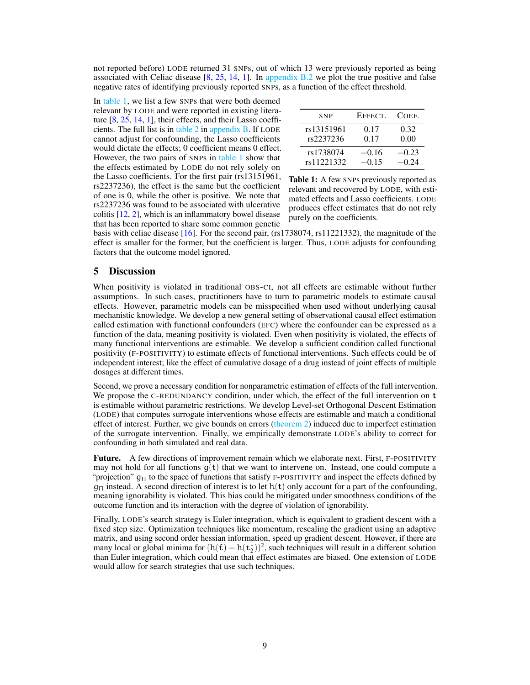not reported before) LODE returned 31 SNPs, out of which 13 were previously reported as being associated with Celiac disease  $[8, 25, 14, 1]$  $[8, 25, 14, 1]$  $[8, 25, 14, 1]$  $[8, 25, 14, 1]$  $[8, 25, 14, 1]$  $[8, 25, 14, 1]$  $[8, 25, 14, 1]$ . In appendix  $B.2$  we plot the true positive and false negative rates of identifying previously reported SNPs, as a function of the effect threshold.

In [table 1,](#page-8-0) we list a few SNPs that were both deemed relevant by LODE and were reported in existing literature [\[8,](#page-9-7) [25,](#page-10-11) [14,](#page-10-12) [1\]](#page-9-8), their effects, and their Lasso coefficients. The full list is in [table 2](#page-16-1) in [appendix B.](#page-15-1) If LODE cannot adjust for confounding, the Lasso coefficients would dictate the effects; 0 coefficient means 0 effect. However, the two pairs of SNPs in [table 1](#page-8-0) show that the effects estimated by LODE do not rely solely on the Lasso coefficients. For the first pair (rs13151961, rs2237236), the effect is the same but the coefficient of one is 0, while the other is positive. We note that rs2237236 was found to be associated with ulcerative colitis [\[12,](#page-9-10) [2\]](#page-9-11), which is an inflammatory bowel disease that has been reported to share some common genetic

| <b>SNP</b> | EFFECT. | COEF.   |
|------------|---------|---------|
| rs13151961 | 0.17    | 0.32    |
| rs2237236  | 0.17    | 0.00    |
| rs1738074  | $-0.16$ | $-0.23$ |
| rs11221332 | $-0.15$ | $-0.24$ |

<span id="page-8-0"></span>Table 1: A few SNPs previously reported as relevant and recovered by LODE, with estimated effects and Lasso coefficients. LODE produces effect estimates that do not rely purely on the coefficients.

basis with celiac disease [\[16\]](#page-10-14). For the second pair, (rs1738074, rs11221332), the magnitude of the effect is smaller for the former, but the coefficient is larger. Thus, LODE adjusts for confounding factors that the outcome model ignored.

## 5 Discussion

When positivity is violated in traditional OBS-CI, not all effects are estimable without further assumptions. In such cases, practitioners have to turn to parametric models to estimate causal effects. However, parametric models can be misspecified when used without underlying causal mechanistic knowledge. We develop a new general setting of observational causal effect estimation called estimation with functional confounders (EFC) where the confounder can be expressed as a function of the data, meaning positivity is violated. Even when positivity is violated, the effects of many functional interventions are estimable. We develop a sufficient condition called functional positivity (F-POSITIVITY) to estimate effects of functional interventions. Such effects could be of independent interest; like the effect of cumulative dosage of a drug instead of joint effects of multiple dosages at different times.

Second, we prove a necessary condition for nonparametric estimation of effects of the full intervention. We propose the C-REDUNDANCY condition, under which, the effect of the full intervention on t is estimable without parametric restrictions. We develop Level-set Orthogonal Descent Estimation (LODE) that computes surrogate interventions whose effects are estimable and match a conditional effect of interest. Further, we give bounds on errors [\(theorem 2\)](#page-4-2) induced due to imperfect estimation of the surrogate intervention. Finally, we empirically demonstrate LODE's ability to correct for confounding in both simulated and real data.

Future. A few directions of improvement remain which we elaborate next. First, F-POSITIVITY may not hold for all functions  $q(t)$  that we want to intervene on. Instead, one could compute a "projection"  $q_{\Pi}$  to the space of functions that satisfy F-POSITIVITY and inspect the effects defined by  $q_{\Pi}$  instead. A second direction of interest is to let  $h(t)$  only account for a part of the confounding, meaning ignorability is violated. This bias could be mitigated under smoothness conditions of the outcome function and its interaction with the degree of violation of ignorability.

Finally, LODE's search strategy is Euler integration, which is equivalent to gradient descent with a fixed step size. Optimization techniques like momentum, rescaling the gradient using an adaptive matrix, and using second order hessian information, speed up gradient descent. However, if there are many local or global minima for  $(h(\tilde{t}) - h(t_2^*))^2$ , such techniques will result in a different solution than Euler integration, which could mean that effect estimates are biased. One extension of LODE would allow for search strategies that use such techniques.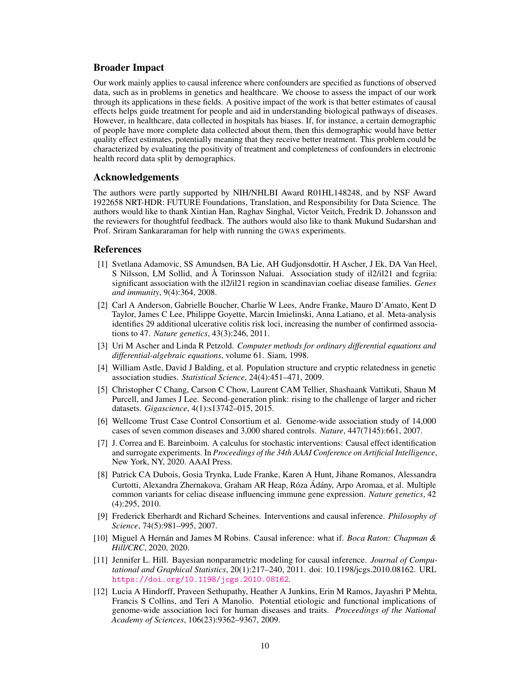## Broader Impact

Our work mainly applies to causal inference where confounders are specified as functions of observed data, such as in problems in genetics and healthcare. We choose to assess the impact of our work through its applications in these fields. A positive impact of the work is that better estimates of causal effects helps guide treatment for people and aid in understanding biological pathways of diseases. However, in healthcare, data collected in hospitals has biases. If, for instance, a certain demographic of people have more complete data collected about them, then this demographic would have better quality effect estimates, potentially meaning that they receive better treatment. This problem could be characterized by evaluating the positivity of treatment and completeness of confounders in electronic health record data split by demographics.

## Acknowledgements

The authors were partly supported by NIH/NHLBI Award R01HL148248, and by NSF Award 1922658 NRT-HDR: FUTURE Foundations, Translation, and Responsibility for Data Science. The authors would like to thank Xintian Han, Raghav Singhal, Victor Veitch, Fredrik D. Johansson and the reviewers for thoughtful feedback. The authors would also like to thank Mukund Sudarshan and Prof. Sriram Sankararaman for help with running the GWAS experiments.

## References

- <span id="page-9-8"></span>[1] Svetlana Adamovic, SS Amundsen, BA Lie, AH Gudjonsdottir, H Ascher, J Ek, DA Van Heel, S Nilsson, LM Sollid, and Å Torinsson Naluai. Association study of il2/il21 and fcgriia: significant association with the il2/il21 region in scandinavian coeliac disease families. *Genes and immunity*, 9(4):364, 2008.
- <span id="page-9-11"></span>[2] Carl A Anderson, Gabrielle Boucher, Charlie W Lees, Andre Franke, Mauro D'Amato, Kent D Taylor, James C Lee, Philippe Goyette, Marcin Imielinski, Anna Latiano, et al. Meta-analysis identifies 29 additional ulcerative colitis risk loci, increasing the number of confirmed associations to 47. *Nature genetics*, 43(3):246, 2011.
- <span id="page-9-5"></span>[3] Uri M Ascher and Linda R Petzold. *Computer methods for ordinary differential equations and differential-algebraic equations*, volume 61. Siam, 1998.
- <span id="page-9-0"></span>[4] William Astle, David J Balding, et al. Population structure and cryptic relatedness in genetic association studies. *Statistical Science*, 24(4):451–471, 2009.
- <span id="page-9-9"></span>[5] Christopher C Chang, Carson C Chow, Laurent CAM Tellier, Shashaank Vattikuti, Shaun M Purcell, and James J Lee. Second-generation plink: rising to the challenge of larger and richer datasets. *Gigascience*, 4(1):s13742–015, 2015.
- <span id="page-9-6"></span>[6] Wellcome Trust Case Control Consortium et al. Genome-wide association study of 14,000 cases of seven common diseases and 3,000 shared controls. *Nature*, 447(7145):661, 2007.
- <span id="page-9-3"></span>[7] J. Correa and E. Bareinboim. A calculus for stochastic interventions: Causal effect identification and surrogate experiments. In *Proceedings of the 34th AAAI Conference on Artificial Intelligence*, New York, NY, 2020. AAAI Press.
- <span id="page-9-7"></span>[8] Patrick CA Dubois, Gosia Trynka, Lude Franke, Karen A Hunt, Jihane Romanos, Alessandra Curtotti, Alexandra Zhernakova, Graham AR Heap, Róza Ádány, Arpo Aromaa, et al. Multiple common variants for celiac disease influencing immune gene expression. *Nature genetics*, 42 (4):295, 2010.
- <span id="page-9-2"></span>[9] Frederick Eberhardt and Richard Scheines. Interventions and causal inference. *Philosophy of Science*, 74(5):981–995, 2007.
- <span id="page-9-1"></span>[10] Miguel A Hernan and James M Robins. Causal inference: what if. ´ *Boca Raton: Chapman & Hill/CRC*, 2020, 2020.
- <span id="page-9-4"></span>[11] Jennifer L. Hill. Bayesian nonparametric modeling for causal inference. *Journal of Computational and Graphical Statistics*, 20(1):217–240, 2011. doi: 10.1198/jcgs.2010.08162. URL <https://doi.org/10.1198/jcgs.2010.08162>.
- <span id="page-9-10"></span>[12] Lucia A Hindorff, Praveen Sethupathy, Heather A Junkins, Erin M Ramos, Jayashri P Mehta, Francis S Collins, and Teri A Manolio. Potential etiologic and functional implications of genome-wide association loci for human diseases and traits. *Proceedings of the National Academy of Sciences*, 106(23):9362–9367, 2009.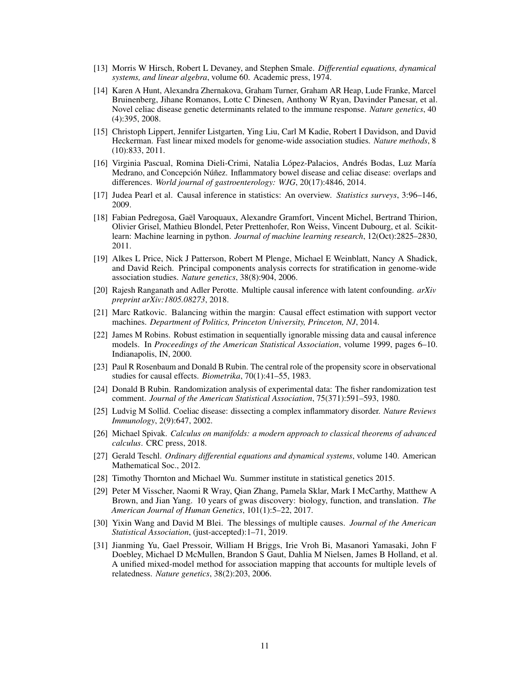- <span id="page-10-17"></span>[13] Morris W Hirsch, Robert L Devaney, and Stephen Smale. *Differential equations, dynamical systems, and linear algebra*, volume 60. Academic press, 1974.
- <span id="page-10-12"></span>[14] Karen A Hunt, Alexandra Zhernakova, Graham Turner, Graham AR Heap, Lude Franke, Marcel Bruinenberg, Jihane Romanos, Lotte C Dinesen, Anthony W Ryan, Davinder Panesar, et al. Novel celiac disease genetic determinants related to the immune response. *Nature genetics*, 40 (4):395, 2008.
- <span id="page-10-0"></span>[15] Christoph Lippert, Jennifer Listgarten, Ying Liu, Carl M Kadie, Robert I Davidson, and David Heckerman. Fast linear mixed models for genome-wide association studies. *Nature methods*, 8 (10):833, 2011.
- <span id="page-10-14"></span>[16] Virginia Pascual, Romina Dieli-Crimi, Natalia López-Palacios, Andrés Bodas, Luz María Medrano, and Concepción Núñez. Inflammatory bowel disease and celiac disease: overlaps and differences. *World journal of gastroenterology: WJG*, 20(17):4846, 2014.
- <span id="page-10-6"></span>[17] Judea Pearl et al. Causal inference in statistics: An overview. *Statistics surveys*, 3:96–146, 2009.
- <span id="page-10-13"></span>[18] Fabian Pedregosa, Gael Varoquaux, Alexandre Gramfort, Vincent Michel, Bertrand Thirion, ¨ Olivier Grisel, Mathieu Blondel, Peter Prettenhofer, Ron Weiss, Vincent Dubourg, et al. Scikitlearn: Machine learning in python. *Journal of machine learning research*, 12(Oct):2825–2830, 2011.
- <span id="page-10-1"></span>[19] Alkes L Price, Nick J Patterson, Robert M Plenge, Michael E Weinblatt, Nancy A Shadick, and David Reich. Principal components analysis corrects for stratification in genome-wide association studies. *Nature genetics*, 38(8):904, 2006.
- <span id="page-10-4"></span>[20] Rajesh Ranganath and Adler Perotte. Multiple causal inference with latent confounding. *arXiv preprint arXiv:1805.08273*, 2018.
- <span id="page-10-9"></span>[21] Marc Ratkovic. Balancing within the margin: Causal effect estimation with support vector machines. *Department of Politics, Princeton University, Princeton, NJ*, 2014.
- <span id="page-10-10"></span>[22] James M Robins. Robust estimation in sequentially ignorable missing data and causal inference models. In *Proceedings of the American Statistical Association*, volume 1999, pages 6–10. Indianapolis, IN, 2000.
- <span id="page-10-8"></span>[23] Paul R Rosenbaum and Donald B Rubin. The central role of the propensity score in observational studies for causal effects. *Biometrika*, 70(1):41–55, 1983.
- <span id="page-10-7"></span>[24] Donald B Rubin. Randomization analysis of experimental data: The fisher randomization test comment. *Journal of the American Statistical Association*, 75(371):591–593, 1980.
- <span id="page-10-11"></span>[25] Ludvig M Sollid. Coeliac disease: dissecting a complex inflammatory disorder. *Nature Reviews Immunology*, 2(9):647, 2002.
- <span id="page-10-15"></span>[26] Michael Spivak. *Calculus on manifolds: a modern approach to classical theorems of advanced calculus*. CRC press, 2018.
- <span id="page-10-16"></span>[27] Gerald Teschl. *Ordinary differential equations and dynamical systems*, volume 140. American Mathematical Soc., 2012.
- <span id="page-10-18"></span>[28] Timothy Thornton and Michael Wu. Summer institute in statistical genetics 2015.
- <span id="page-10-3"></span>[29] Peter M Visscher, Naomi R Wray, Qian Zhang, Pamela Sklar, Mark I McCarthy, Matthew A Brown, and Jian Yang. 10 years of gwas discovery: biology, function, and translation. *The American Journal of Human Genetics*, 101(1):5–22, 2017.
- <span id="page-10-5"></span>[30] Yixin Wang and David M Blei. The blessings of multiple causes. *Journal of the American Statistical Association*, (just-accepted):1–71, 2019.
- <span id="page-10-2"></span>[31] Jianming Yu, Gael Pressoir, William H Briggs, Irie Vroh Bi, Masanori Yamasaki, John F Doebley, Michael D McMullen, Brandon S Gaut, Dahlia M Nielsen, James B Holland, et al. A unified mixed-model method for association mapping that accounts for multiple levels of relatedness. *Nature genetics*, 38(2):203, 2006.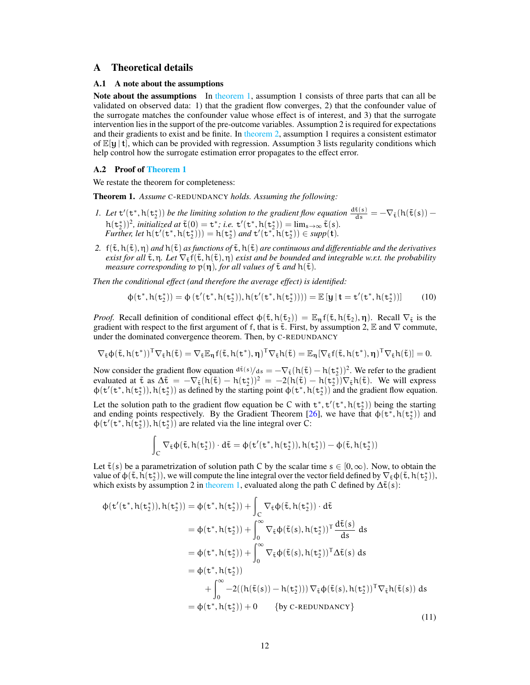## <span id="page-11-1"></span>A Theoretical details

#### A.1 A note about the assumptions

Note about the assumptions In [theorem 1,](#page-3-2) assumption 1 consists of three parts that can all be validated on observed data: 1) that the gradient flow converges, 2) that the confounder value of the surrogate matches the confounder value whose effect is of interest, and 3) that the surrogate intervention lies in the support of the pre-outcome variables. Assumption 2 is required for expectations and their gradients to exist and be finite. In [theorem 2,](#page-4-2) assumption 1 requires a consistent estimator of  $\mathbb{E}[y | t]$ , which can be provided with regression. Assumption 3 lists regularity conditions which help control how the surrogate estimation error propagates to the effect error.

#### <span id="page-11-0"></span>A.2 Proof of [Theorem 1](#page-3-2)

We restate the theorem for completeness:

Theorem 1. *Assume* C-REDUNDANCY *holds. Assuming the following:*

- *1.* Let  $t'(t^*, h(t^*_{2}))$  be the limiting solution to the gradient flow equation  $\frac{d\tilde{t}(s)}{ds} = -\nabla_{\tilde{t}}(h(\tilde{t}(s))$  $h(t_2^*)^2$ , *initialized at*  $\tilde{t}(0) = t^*$ ; *i.e.*  $t'(t^*, h(t_2^*)) = \lim_{s \to \infty} \tilde{t}(s)$ .<br>Further little  $(t/(t^*, h(t^*))) = h(t^*)$ , and  $t/(t^*, h(t^*)) \in \text{sym}(t)$ . *Further, let*  $h(t'(t^*, h(t^*_2))) = h(t^*_2)$  *and*  $t'(t^*, h(t^*_2)) \in supp(t)$ *.*
- 2.  $f(\tilde{t}, h(\tilde{t}), \eta)$  *and*  $h(\tilde{t})$  *as functions of*  $\tilde{t}, h(\tilde{t})$  *are continuous and differentiable and the derivatives exist for all*  $\tilde{\tau}$ ,  $\eta$ *. Let*  $\nabla_{\tilde{\tau}} f(\tilde{\tau}, h(\tilde{\tau}), \eta)$  *exist and be bounded and integrable w.r.t. the probability measure corresponding to*  $p(\eta)$ *, for all values of*  $\tilde{t}$  *and*  $h(\tilde{t})$ *.*

*Then the conditional effect (and therefore the average effect) is identified:*

$$
\varphi(\mathtt{t}^*,h(\mathtt{t}^*_2)) = \varphi\left(\mathtt{t}'(\mathtt{t}^*,h(\mathtt{t}^*_2)),h(\mathtt{t}'(\mathtt{t}^*,h(\mathtt{t}^*_2)))) = \mathbb{E}\left[\mathbf{y} \,|\, \mathbf{t} = \mathtt{t}'(\mathtt{t}^*,h(\mathtt{t}^*_2))\right] \qquad (10)
$$

*Proof.* Recall definition of conditional effect  $\phi(\tilde{t}, h(\tilde{t}_2)) = \mathbb{E}_{\eta} f(\tilde{t}, h(\tilde{t}_2), \eta)$ . Recall  $\nabla_{\tilde{t}}$  is the gradient with respect to the first argument of f, that is  $\tilde{\tau}$ . First, by assumption 2,  $\mathbb E$  and  $\nabla$  commute, under the dominated convergence theorem. Then, by C-REDUNDANCY

$$
\nabla_{\tilde{\mathtt{t}}}\varphi(\tilde{\mathtt{t}},h(\mathtt{t}^*))^T\nabla_{\tilde{\mathtt{t}}}h(\tilde{\mathtt{t}})=\nabla_{\tilde{\mathtt{t}}}\mathbb{E}_{\eta}f(\tilde{\mathtt{t}},h(\mathtt{t}^*),\eta)^T\nabla_{\tilde{\mathtt{t}}}h(\tilde{\mathtt{t}})=\mathbb{E}_{\eta}[\nabla_{\tilde{\mathtt{t}}}f(\tilde{\mathtt{t}},h(\mathtt{t}^*),\eta)^T\nabla_{\tilde{\mathtt{t}}}h(\tilde{\mathtt{t}})]=0.
$$

Now consider the gradient flow equation  $d\tilde{t}(s)/ds = -\nabla_{\tilde{t}}(h(\tilde{t}) - h(t_2^*))^2$ . We refer to the gradient evaluated at  $\tilde{t}$  as  $\Delta \tilde{t} = -\nabla_{\tilde{t}}(h(\tilde{t}) - h(t_2^*))^2 = -2(h(\tilde{t}) - h(t_2^*))\nabla_{\tilde{t}}h(\tilde{t})$ . We will express  $\phi(\mathbf{t}'(\mathbf{t}^*, \mathbf{h}(\mathbf{t}_2^*)), \mathbf{h}(\mathbf{t}_2^*))$  as defined by the starting point  $\phi(\mathbf{t}^*, \mathbf{h}(\mathbf{t}_2^*))$  and the gradient flow equation.

Let the solution path to the gradient flow equation be C with  $t^*, t'(t^*, h(t^*_{2}))$  being the starting and ending points respectively. By the Gradient Theorem [\[26\]](#page-10-15), we have that  $\phi(\mathbf{t}^*, \mathbf{h}(\mathbf{t}_2^*))$  and  $\varphi(\mathbf{t}'(\mathbf{t}^*, \mathbf{h}(\mathbf{t}_2^*)), \mathbf{h}(\mathbf{t}_2^*))$  are related via the line integral over C:

$$
\int_C \nabla_{\tilde{\mathtt{t}}}\varphi(\tilde{\mathtt{t}},h(\mathtt{t}^*_2))\cdot d\tilde{\mathtt{t}}=\varphi(\mathtt{t}'(\mathtt{t}^*,h(\mathtt{t}^*_2)),h(\mathtt{t}^*_2))-\varphi(\tilde{\mathtt{t}},h(\mathtt{t}^*_2))
$$

Let  $\tilde{\tau}(s)$  be a parametrization of solution path C by the scalar time  $s \in [0,\infty)$ . Now, to obtain the value of  $\phi(\tilde{t}, \tilde{h}(t_2^*))$ , we will compute the line integral over the vector field defined by  $\nabla_{\tilde{t}} \phi(\tilde{t}, h(t_2^*))$ , which exists by assumption 2 in [theorem 1,](#page-3-2) evaluated along the path C defined by  $\Delta \tilde{t}(s)$ :

$$
\begin{split}\n\Phi(\mathbf{t}'(\mathbf{t}^*, h(\mathbf{t}_2^*)), h(\mathbf{t}_2^*)) &= \Phi(\mathbf{t}^*, h(\mathbf{t}_2^*)) + \int_C \nabla_{\tilde{\mathbf{t}}} \Phi(\tilde{\mathbf{t}}, h(\mathbf{t}_2^*)) \cdot d\tilde{\mathbf{t}} \\
&= \Phi(\mathbf{t}^*, h(\mathbf{t}_2^*)) + \int_0^\infty \nabla_{\tilde{\mathbf{t}}} \Phi(\tilde{\mathbf{t}}(s), h(\mathbf{t}_2^*))^T \frac{d\tilde{\mathbf{t}}(s)}{ds} ds \\
&= \Phi(\mathbf{t}^*, h(\mathbf{t}_2^*)) + \int_0^\infty \nabla_{\tilde{\mathbf{t}}} \Phi(\tilde{\mathbf{t}}(s), h(\mathbf{t}_2^*))^T \Delta \tilde{\mathbf{t}}(s) ds \\
&= \Phi(\mathbf{t}^*, h(\mathbf{t}_2^*)) \\
&+ \int_0^\infty -2((h(\tilde{\mathbf{t}}(s)) - h(\mathbf{t}_2^*))) \nabla_{\tilde{\mathbf{t}}} \Phi(\tilde{\mathbf{t}}(s), h(\mathbf{t}_2^*))^T \nabla_{\tilde{\mathbf{t}}} h(\tilde{\mathbf{t}}(s)) ds \\
&= \Phi(\mathbf{t}^*, h(\mathbf{t}_2^*)) + 0 \qquad \text{{by C-REDUNDANCY}}\n\end{split} \tag{11}
$$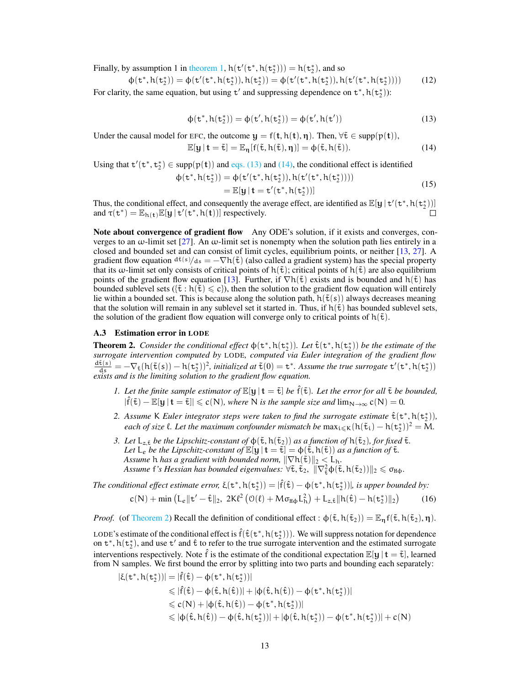Finally, by assumption 1 in [theorem 1,](#page-3-2)  $h(t'(t^*, h(t^*_{2}))) = h(t^*_{2}),$  and so

$$
\varphi(\mathbf{t}^*, h(\mathbf{t}_2^*)) = \varphi(\mathbf{t}'(\mathbf{t}^*, h(\mathbf{t}_2^*)), h(\mathbf{t}_2^*)) = \varphi(\mathbf{t}'(\mathbf{t}^*, h(\mathbf{t}_2^*)), h(\mathbf{t}'(\mathbf{t}^*, h(\mathbf{t}_2^*))))
$$
(12)

For clarity, the same equation, but using  $t'$  and suppressing dependence on  $t^*$ ,  $h(t_2^*)$ :

<span id="page-12-1"></span>
$$
\phi(\mathbf{t}^*, h(\mathbf{t}_2^*)) = \phi(\mathbf{t}', h(\mathbf{t}_2^*)) = \phi(\mathbf{t}', h(\mathbf{t}')) \tag{13}
$$

Under the causal model for EFC, the outcome  $y = f(t, h(t), \eta)$ . Then,  $\forall \tilde{t} \in \text{supp}(p(t)),$ 

<span id="page-12-2"></span>
$$
\mathbb{E}[\mathbf{y} \,|\, \mathbf{t} = \tilde{\mathbf{t}}] = \mathbb{E}_{\mathbf{\eta}}[f(\tilde{\mathbf{t}}, h(\tilde{\mathbf{t}}), \mathbf{\eta})] = \varphi(\tilde{\mathbf{t}}, h(\tilde{\mathbf{t}})).\tag{14}
$$

Using that  $t'(t^*, t_2^*) \in \text{supp}(p(t))$  and [eqs. \(13\)](#page-12-1) and [\(14\),](#page-12-2) the conditional effect is identified

$$
\begin{aligned} \n\varphi(\mathbf{t}^*, \mathbf{h}(\mathbf{t}_2^*)) &= \varphi(\mathbf{t}'(\mathbf{t}^*, \mathbf{h}(\mathbf{t}_2^*)), \mathbf{h}(\mathbf{t}'(\mathbf{t}^*, \mathbf{h}(\mathbf{t}_2^*)))) \\ \n&= \mathbb{E}[\mathbf{y} \,|\, \mathbf{t} = \mathbf{t}'(\mathbf{t}^*, \mathbf{h}(\mathbf{t}_2^*))] \n\end{aligned} \tag{15}
$$

Thus, the conditional effect, and consequently the average effect, are identified as  $\mathbb{E}[\mathbf{y} | \mathbf{t}'(\mathbf{t}^*, \mathbf{h}(\mathbf{t}_2^*))]$ and  $\tau(\mathbf{t}^*) = \mathbb{E}_{h(\mathbf{t})} \mathbb{E}[\mathbf{y} | \mathbf{t}'(\mathbf{t}^*, h(\mathbf{t}))]$  respectively.

Note about convergence of gradient flow Any ODE's solution, if it exists and converges, converges to an  $\omega$ -limit set [\[27\]](#page-10-16). An  $\omega$ -limit set is nonempty when the solution path lies entirely in a closed and bounded set and can consist of limit cycles, equilibrium points, or neither [\[13,](#page-10-17) [27\]](#page-10-16). A gradient flow equation  $d\tilde{\epsilon}(s)/ds = -\nabla h(\tilde{\epsilon})$  (also called a gradient system) has the special property that its w-limit set only consists of critical points of  $h(\tilde{t})$ ; critical points of  $h(\tilde{t})$  are also equilibrium points of the gradient flow equation [\[13\]](#page-10-17). Further, if  $\nabla h(\tilde{t})$  exists and is bounded and  $h(\tilde{t})$  has bounded sublevel sets  $({\tilde{t}} : h({\tilde{t}}) \leq c)$ , then the solution to the gradient flow equation will entirely lie within a bounded set. This is because along the solution path,  $h(\tilde{t}(s))$  always decreases meaning that the solution will remain in any sublevel set it started in. Thus, if  $h(\tilde{t})$  has bounded sublevel sets, the solution of the gradient flow equation will converge only to critical points of  $h(\tilde{t})$ .

#### <span id="page-12-0"></span>A.3 Estimation error in LODE

**Theorem 2.** *Consider the conditional effect*  $\phi(\mathsf{t}^*, h(\mathsf{t}_2^*))$ *. Let*  $\hat{\mathsf{t}}(\mathsf{t}^*, h(\mathsf{t}_2^*))$  *be the estimate of the surrogate intervention computed by* LODE*, computed via Euler integration of the gradient flow*  $\frac{d\tilde{\tau}(s)}{ds} = -\nabla_{\tilde{\tau}}(h(\tilde{\tau}(s)) - h(\tau_2^*))^2$ , initialized at  $\tilde{\tau}(0) = \tau^*$ . Assume the true surrogate  $\tau'(\tau^*, h(\tau_2^*))$ *exists and is the limiting solution to the gradient flow equation.*

- *1. Let the finite sample estimator of*  $\mathbb{E}[\mathbf{y} | \mathbf{t} = \tilde{\mathbf{t}}]$  *be*  $\hat{\mathbf{f}}(\tilde{\mathbf{t}})$ *. Let the error for all*  $\tilde{\mathbf{t}}$  *be bounded,*  $|\hat{f}(\tilde{\mathbf{t}}) - \mathbb{E}[\mathbf{y} | \mathbf{t} = \tilde{\mathbf{t}}]| \leqslant c(N)$ *, where* N *is the sample size and*  $\lim_{N \to \infty} c(N) = 0$ *.*
- 2. Assume K Euler integrator steps were taken to find the surrogate estimate  $\hat{\tau}(\tau^*, h(\tau^*_2))$ , *each of size*  $\ell$ . Let the maximum confounder mismatch be  $\max_{i \leq k} (h(\tilde{t}_i) - h(t_2^*))^2 = M$ .
- *3. Let*  $L_{z,\tilde{t}}$  *be the Lipschitz-constant of*  $\varphi(\tilde{t}, h(\tilde{t}_2))$  *as a function of*  $h(\tilde{t}_2)$ *, for fixed*  $\tilde{t}$ *. Let*  $L_e$  *be the Lipschitz-constant of*  $\mathbb{E}[\mathbf{y} | \mathbf{t} = \tilde{\mathbf{t}}] = \phi(\tilde{\mathbf{t}}, h(\tilde{\mathbf{t}}))$  *as a function of*  $\tilde{\mathbf{t}}$ *. Assume h has a gradient with bounded norm,*  $\|\nabla h(\tilde{\mathbf{t}})\|_2 < L_h$ .  $\Delta$ *ssume* f's Hessian has bounded eigenvalues:  $\forall \tilde{\tau}, \tilde{\tau}_2$ ,  $\|\nabla^2_{\tilde{\tau}} \varphi(\tilde{\tau}, h(\tilde{\tau}_2))\|_2 \leq \sigma_{\text{H}\varphi}$ .

The conditional effect estimate error,  $\xi(\mathbf{t}^*,h(\mathbf{t}_2^*))=|\hat{f}(\hat{\mathbf{t}})-\varphi(\mathbf{t}^*,h(\mathbf{t}_2^*))|$ , is upper bounded by:

$$
c(N) + \min\left(L_{\varepsilon}\|t'-\hat{t}\|_{2}, \ 2K\ell^{2}\left(\mathcal{O}(\ell) + M\sigma_{H\varphi}L_{h}^{2}\right) + L_{z,\hat{t}}\|h(\hat{t}) - h(t_{2}^{*})\|_{2}\right) \tag{16}
$$

*Proof.* (of [Theorem 2\)](#page-4-2) Recall the definition of conditional effect :  $\phi(\tilde{t}, h(\tilde{t}_2)) = \mathbb{E}_{\eta} f(\tilde{t}, h(\tilde{t}_2), \eta)$ .

LODE's estimate of the conditional effect is  $\hat{f}(\hat{t}(t^*, h(t^*))$ . We will suppress notation for dependence on  $t^*$ ,  $h(t_2^*)$ , and use  $t'$  and  $\hat{t}$  to refer to the true surrogate intervention and the estimated surrogate interventions respectively. Note  $\hat{f}$  is the estimate of the conditional expectation  $\mathbb{E}[\mathbf{y} | t = \tilde{t}]$ , learned from N samples. We first bound the error by splitting into two parts and bounding each separately:

$$
|\xi(t^*, h(t_2^*))| = |\hat{f}(\hat{t}) - \varphi(t^*, h(t_2^*))|
$$
  
\$\leqslant | \hat{f}(\hat{t}) - \varphi(\hat{t}, h(\hat{t})) | + |\varphi(\hat{t}, h(\hat{t})) - \varphi(t^\*, h(t\_2^\*))|\$  
\$\leqslant c(N) + |\varphi(\hat{t}, h(\hat{t})) - \varphi(t^\*, h(t\_2^\*))|\$  
\$\leqslant |\varphi(\hat{t}, h(\hat{t})) - \varphi(\hat{t}, h(t\_2^\*))| + |\varphi(\hat{t}, h(t\_2^\*)) - \varphi(t^\*, h(t\_2^\*))| + c(N)\$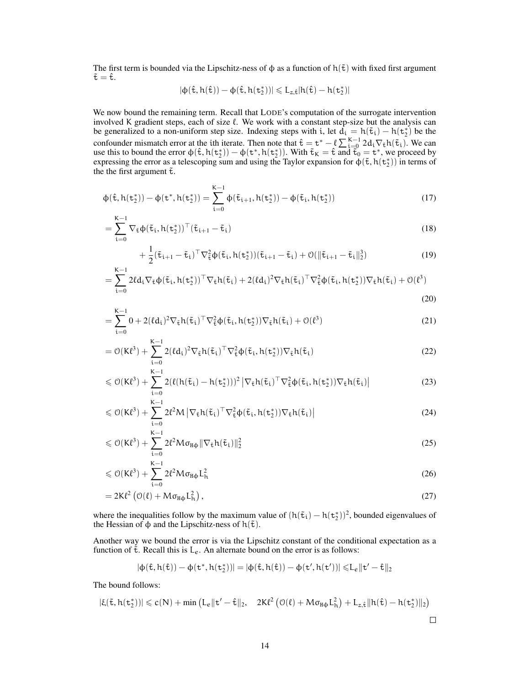The first term is bounded via the Lipschitz-ness of  $\phi$  as a function of  $h(\tilde{t})$  with fixed first argument  $\tilde{\tau} = \hat{\tau}$ .

$$
|\varphi(\hat{\mathtt{t}},h(\hat{\mathtt{t}}))-\varphi(\hat{\mathtt{t}},h(\mathtt{t}^*_2))|\leqslant L_{z,\hat{\mathtt{t}}}|h(\hat{\mathtt{t}})-h(\mathtt{t}^*_2)|
$$

We now bound the remaining term. Recall that LODE's computation of the surrogate intervention involved K gradient steps, each of size  $\ell$ . We work with a constant step-size but the analysis can be generalized to a non-uniform step size. Indexing steps with i, let  $d_i = h(\tilde{t}_i) - h(t_2^*)$  be the be generalized to a non-uniform step size. Indexing steps with t, let  $\mathbf{a}_i = \mathbf{a}_i \mathbf{c}_i$   $\mathbf{a}_i = \mathbf{a}_i \mathbf{c}_i$   $\mathbf{a}_i = \mathbf{a}_i \mathbf{c}_i$   $\mathbf{a}_i = \mathbf{a}_i \mathbf{c}_i$   $\mathbf{a}_i = \mathbf{a}_i \mathbf{c}_i$   $\mathbf{a}_i = \mathbf{a}_i \mathbf{c}_i$  use this to bound the error  $\phi(\hat{\mathbf{t}}, h(\mathbf{t}_2^*)) - \phi(\mathbf{t}^*, h(\mathbf{t}_2^*))$ . With  $\tilde{\mathbf{t}}_K = \hat{\mathbf{t}}$  and  $\tilde{\mathbf{t}}_0 = \mathbf{t}^*$ , we proceed by expressing the error as a telescoping sum and using the Taylor expansion for  $\phi(\tilde{t}, h(t_2^*))$  in terms of the the first argument  $\tilde{\tau}$ .

$$
\Phi(\hat{\mathbf{t}}, h(\mathbf{t}_2^*)) - \Phi(\mathbf{t}^*, h(\mathbf{t}_2^*)) = \sum_{i=0}^{K-1} \Phi(\tilde{\mathbf{t}}_{i+1}, h(\mathbf{t}_2^*)) - \Phi(\tilde{\mathbf{t}}_i, h(\mathbf{t}_2^*))
$$
(17)

$$
= \sum_{i=0}^{K-1} \nabla_{\tilde{\mathbf{t}}} \phi(\tilde{\mathbf{t}}_i, h(\mathbf{t}_2^*))^{\top} (\tilde{\mathbf{t}}_{i+1} - \tilde{\mathbf{t}}_i)
$$
(18)

$$
+\frac{1}{2}(\tilde{\mathbf{t}}_{i+1}-\tilde{\mathbf{t}}_i)^{\top}\nabla_{\tilde{\mathbf{t}}}^{2}\phi(\tilde{\mathbf{t}}_{i},h(\mathbf{t}_{2}^{\ast}))(\tilde{\mathbf{t}}_{i+1}-\tilde{\mathbf{t}}_i)+\mathcal{O}(\|\tilde{\mathbf{t}}_{i+1}-\tilde{\mathbf{t}}_i\|_{2}^{3})
$$
\n(19)

$$
= \sum_{i=0}^{K-1} 2\ell d_i \nabla_{\tilde{\tau}} \varphi(\tilde{t}_i, h(t_2^*))^\top \nabla_{\tilde{\tau}} h(\tilde{t}_i) + 2(\ell d_i)^2 \nabla_{\tilde{\tau}} h(\tilde{t}_i)^\top \nabla_{\tilde{\tau}}^2 \varphi(\tilde{t}_i, h(t_2^*)) \nabla_{\tilde{\tau}} h(\tilde{t}_i) + \mathcal{O}(\ell^3)
$$
\n(20)

$$
= \sum_{i=0}^{K-1} 0 + 2(\ell d_i)^2 \nabla_{\tilde{\mathbf{t}}} h(\tilde{\mathbf{t}}_i)^\top \nabla_{\tilde{\mathbf{t}}}^2 \phi(\tilde{\mathbf{t}}_i, h(\mathbf{t}_2^*)) \nabla_{\tilde{\mathbf{t}}} h(\tilde{\mathbf{t}}_i) + \mathcal{O}(\ell^3)
$$
\n(21)

$$
= \mathcal{O}(K\ell^3) + \sum_{i=0}^{K-1} 2(\ell d_i)^2 \nabla_{\tilde{\mathbf{t}}} h(\tilde{\mathbf{t}}_i)^\top \nabla_{\tilde{\mathbf{t}}}^2 \varphi(\tilde{\mathbf{t}}_i, h(\mathbf{t}_2^*)) \nabla_{\tilde{\mathbf{t}}} h(\tilde{\mathbf{t}}_i)
$$
(22)

$$
\leqslant \mathcal{O}(K\ell^3) + \sum_{i=0}^{K-1} 2(\ell(h(\tilde{\tau}_i) - h(\tilde{\tau}_2)))^2 \left| \nabla_{\tilde{\tau}} h(\tilde{\tau}_i)^\top \nabla_{\tilde{\tau}}^2 \varphi(\tilde{\tau}_i, h(\tilde{\tau}_2)) \nabla_{\tilde{\tau}} h(\tilde{\tau}_i) \right| \tag{23}
$$

$$
\leqslant \mathcal{O}(K\ell^3) + \sum_{i=0}^{K-1} 2\ell^2 M \left| \nabla_{\tilde{\mathbf{t}}} h(\tilde{\mathbf{t}}_i)^\top \nabla_{\tilde{\mathbf{t}}}^2 \varphi(\tilde{\mathbf{t}}_i, h(\mathbf{t}_2^*)) \nabla_{\tilde{\mathbf{t}}} h(\tilde{\mathbf{t}}_i) \right| \tag{24}
$$

$$
\leqslant \mathcal{O}(K\ell^3) + \sum_{i=0}^{K-1} 2\ell^2 M \sigma_{H\varphi} \|\nabla_{\tilde{\tau}} h(\tilde{\tau}_i)\|_2^2
$$
\n(25)

$$
\leqslant \mathcal{O}(K\ell^3) + \sum_{i=0}^{K-1} 2\ell^2 M \sigma_{H\varphi} L_h^2 \tag{26}
$$

$$
=2K\ell^{2}\left(\mathcal{O}(\ell)+M\sigma_{H\Phi}L_{h}^{2}\right),\tag{27}
$$

where the inequalities follow by the maximum value of  $(h(\tilde{t}_i) - h(t_2^*))^2$ , bounded eigenvalues of the Hessian of  $\phi$  and the Lipschitz-ness of  $h(\tilde{t})$ .

Another way we bound the error is via the Lipschitz constant of the conditional expectation as a function of  $\tilde{\tau}$ . Recall this is  $L_e$ . An alternate bound on the error is as follows:

$$
|\varphi(\hat{\mathtt{t}},h(\hat{\mathtt{t}}))-\varphi(\mathtt{t}^*,h(\mathtt{t}^*_2))|=|\varphi(\hat{\mathtt{t}},h(\hat{\mathtt{t}}))-\varphi(\mathtt{t}',h(\mathtt{t}'))|\leqslant\! L_\varepsilon\|\mathtt{t}'-\hat{\mathtt{t}}\|_2
$$

The bound follows:

$$
|\xi(\tilde{\mathtt{t}},h(\mathtt{t}^*_2))|\leqslant c(N)+\min\left(L_e\|\mathtt{t}'-\hat{\mathtt{t}}\|_2,\quad 2K\ell^2\left(\mathbb{O}(\ell)+M\sigma_{\mathtt{H}\varphi}L_h^2\right)+L_{z,\hat{\mathtt{t}}}\|h(\hat{\mathtt{t}})-h(\mathtt{t}^*_2)\|_2\right)
$$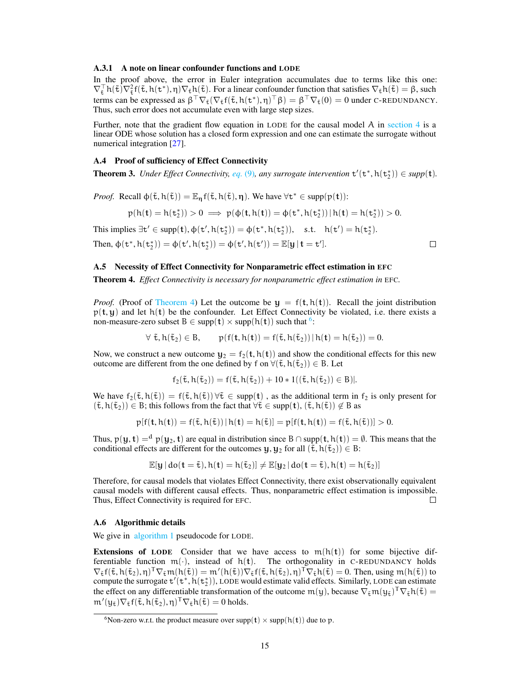#### <span id="page-14-2"></span>A.3.1 A note on linear confounder functions and LODE

In the proof above, the error in Euler integration accumulates due to terms like this one:  $\nabla_{\tilde{\tau}}^{\top} h(\tilde{\tau}) \nabla_{\tilde{\tau}}^2 f(\tilde{\tau}, h(\tau^*), \eta) \nabla_{\tilde{\tau}} h(\tilde{\tau})$ . For a linear confounder function that satisfies  $\nabla_{\tilde{\tau}} h(\tilde{\tau}) = \beta$ , such terms can be expressed as  $\beta^{\top} \nabla_{\tilde{\tau}} (\nabla_{\tilde{\tau}} f(\tilde{\tau}, h(t^*), \eta)^{\top} \beta) = \beta^{\top} \nabla_{\tilde{\tau}} (0) = 0$  under C-REDUNDANCY. Thus, such error does not accumulate even with large step sizes.

Further, note that the gradient flow equation in LODE for the causal model A in [section 4](#page-5-1) is a linear ODE whose solution has a closed form expression and one can estimate the surrogate without numerical integration [\[27\]](#page-10-16).

## <span id="page-14-0"></span>A.4 Proof of sufficiency of Effect Connectivity

**Theorem 3.** *Under Effect Connectivity, [eq.](#page-5-0)* (9), any surrogate intervention  $t'(t^*, h(t^*_{2})) \in supp(t)$ .

*Proof.* Recall  $\phi(\tilde{\mathbf{t}}, h(\tilde{\mathbf{t}})) = \mathbb{E}_{\eta} f(\tilde{\mathbf{t}}, h(\tilde{\mathbf{t}}), \eta)$ . We have  $\forall \mathbf{t}^* \in \text{supp}(\mathbf{p}(\mathbf{t}))$ :

$$
p(h(\mathbf{t})=h(\mathtt{t}^*_2))>0\implies p(\varphi(\mathbf{t},h(\mathbf{t}))=\varphi(\mathtt{t}^*,h(\mathtt{t}^*_2))\,|\,h(\mathbf{t})=h(\mathtt{t}^*_2))>0.
$$

This implies  $\exists t' \in \text{supp}(\mathbf{t}), \phi(\mathbf{t}', \mathbf{h}(\mathbf{t}_2^*)) = \phi(\mathbf{t}^*, \mathbf{h}(\mathbf{t}_2^*)\), \quad \text{s.t.} \quad \mathbf{h}(\mathbf{t}') = \mathbf{h}(\mathbf{t}_2^*)$ .

Then,  $\phi(\mathbf{t}^*, h(\mathbf{t}_2^*)) = \phi(\mathbf{t}', h(\mathbf{t}_2^*)) = \phi(\mathbf{t}', h(\mathbf{t}')) = \mathbb{E}[\mathbf{y} | \mathbf{t} = \mathbf{t}']$ .

#### <span id="page-14-1"></span>A.5 Necessity of Effect Connectivity for Nonparametric effect estimation in EFC

Theorem 4. *Effect Connectivity is necessary for nonparametric effect estimation in* EFC*.*

*Proof.* (Proof of [Theorem 4\)](#page-5-2) Let the outcome be  $y = f(t, h(t))$ . Recall the joint distribution  $p(t, y)$  and let  $h(t)$  be the confounder. Let Effect Connectivity be violated, i.e. there exists a non-measure-zero subset  $B \in \text{supp}(\mathbf{t}) \times \text{supp}(\mathbf{h}(\mathbf{t}))$  such that <sup>[6](#page-14-3)</sup>:

$$
\forall \ \tilde{\mathtt{t}}, h(\tilde{\mathtt{t}}_2) \in B, \qquad \mathfrak{p}(\mathsf{f}(\mathtt{t}, h(\mathtt{t})) = \mathsf{f}(\tilde{\mathtt{t}}, h(\tilde{\mathtt{t}}_2)) | h(\mathtt{t}) = h(\tilde{\mathtt{t}}_2)) = 0.
$$

Now, we construct a new outcome  $y_2 = f_2(t, h(t))$  and show the conditional effects for this new outcome are different from the one defined by f on  $\forall (\tilde{t}, h(\tilde{t}_2)) \in B$ . Let

$$
f_2(\mathbf{\tilde{t}},h(\mathbf{\tilde{t}}_2))=f(\mathbf{\tilde{t}},h(\mathbf{\tilde{t}}_2))+10*1((\mathbf{\tilde{t}},h(\mathbf{\tilde{t}}_2))\in B)|.
$$

We have  $f_2(\tilde{t}, h(\tilde{t})) = f(\tilde{t}, h(\tilde{t})) \forall \tilde{t} \in \text{supp}(\tilde{t}), \text{ as the additional term in } f_2 \text{ is only present for }$  $(\tilde{t}, h(\tilde{t}_2)) \in B$ ; this follows from the fact that  $\forall \tilde{t} \in \text{supp}(\mathbf{t}), (\tilde{t}, h(\tilde{t})) \notin B$  as

$$
p[f(\mathbf{t},h(\mathbf{t}))=f(\tilde{\mathbf{t}},h(\tilde{\mathbf{t}}))\,|\,h(\mathbf{t})=h(\tilde{\mathbf{t}})]=p[f(\mathbf{t},h(\mathbf{t}))=f(\tilde{\mathbf{t}},h(\tilde{\mathbf{t}}))]>0.
$$

Thus,  $p(y, t) = d p(y_2, t)$  are equal in distribution since  $B \cap supp(t, h(t)) = \emptyset$ . This means that the conditional effects are different for the outcomes  $\mathbf{y},\mathbf{y}_2$  for all  $(\tilde{\mathbf{t}}, h(\tilde{\mathbf{t}}_2)) \in B$ :

$$
\mathbb{E}[y\,|\,do(t=\tilde{\mathtt{t}}), h(t)=h(\tilde{\mathtt{t}}_2)] \neq \mathbb{E}[y_2\,|\,do(t=\tilde{\mathtt{t}}), h(t)=h(\tilde{\mathtt{t}}_2)]
$$

Therefore, for causal models that violates Effect Connectivity, there exist observationally equivalent causal models with different causal effects. Thus, nonparametric effect estimation is impossible. Thus, Effect Connectivity is required for EFC.  $\Box$ 

#### A.6 Algorithmic details

We give in [algorithm 1](#page-15-0) pseudocode for LODE.

**Extensions of LODE** Consider that we have access to  $m(h(t))$  for some bijective differentiable function  $m(.)$ , instead of  $h(t)$ . The orthogonality in C-REDUNDANCY holds  $\nabla_{\tilde{\tau}} f(\tilde{\tau}, h(\tilde{\tau}_2), \eta)^\mathsf{T} \nabla_{\tilde{\tau}} m(h(\tilde{\tau})) = m'(h(\tilde{\tau})) \nabla_{\tilde{\tau}} f(\tilde{\tau}, h(\tilde{\tau}_2), \eta)^\mathsf{T} \nabla_{\tilde{\tau}} h(\tilde{\tau}) = 0$ . Then, using  $m(h(\tilde{\tau}))$  to compute the surrogate  $t'(t^*, h(t^*_{2}))$ , LODE would estimate valid effects. Similarly, LODE can estimate the effect on any differentiable transformation of the outcome  $m(y)$ , because  $\nabla_{\tilde{\tau}}m(y_{\tilde{\tau}})^T \nabla_{\tilde{\tau}}h(\tilde{\tau}) =$  $\mathfrak{m}'(\mathfrak{y}_{\tilde{\mathtt{t}}})\nabla_{\tilde{\mathtt{t}}} \mathfrak{f}(\tilde{\mathtt{t}},\mathfrak{h}(\tilde{\mathtt{t}}_2),\eta)^\mathsf{T}\nabla_{\tilde{\mathtt{t}}} \mathfrak{h}(\tilde{\mathtt{t}})=0$  holds.

 $\Box$ 

<span id="page-14-3"></span><sup>&</sup>lt;sup>6</sup>Non-zero w.r.t. the product measure over supp( $\mathbf{t}$ ) × supp( $\mathbf{h}(\mathbf{t})$ ) due to p.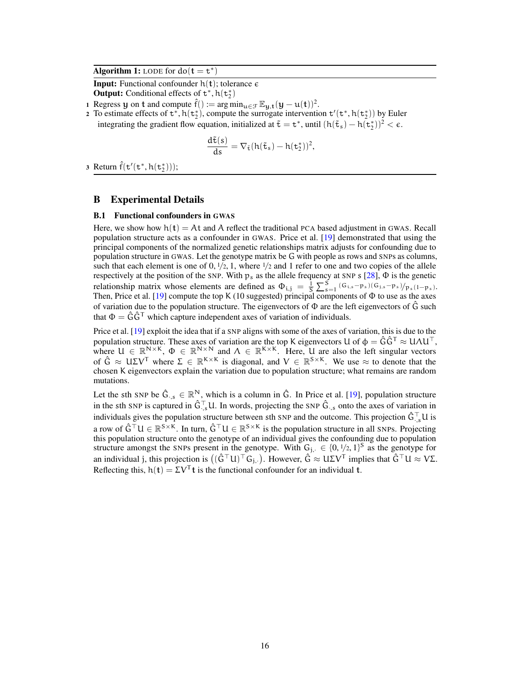Algorithm 1: LODE for  $do(t = t^*)$ 

**Input:** Functional confounder  $h(t)$ ; tolerance  $\epsilon$ 

**Output:** Conditional effects of  $t^*$ ,  $h(t_2^*)$ 

1 Regress y on t and compute  $\hat{f}$  : = arg min<sub>u $\in \mathcal{F}$ </sub>  $\mathbb{E}_{y,t}(y-u(t))^2$ .

2 To estimate effects of  $t^*$ ,  $h(t_2^*)$ , compute the surrogate intervention  $t'(t^*, h(t_2^*))$  by Euler integrating the gradient flow equation, initialized at  $\tilde{\tau} = t^*$ , until  $(h(\tilde{t}_s) - h(t_2^*))^2 < \epsilon$ .

<span id="page-15-0"></span>
$$
\frac{\mathrm{d} \tilde{\mathtt{t}}(s)}{\mathrm{d} s} = \nabla_{\tilde{\mathtt{t}}} (h(\tilde{\mathtt{t}}_s) - h(\mathtt{t}^*_2))^2,
$$

3 Return  $\hat{f}(t'(t^*, h(t^*_2)));$ 

## <span id="page-15-1"></span>B Experimental Details

### B.1 Functional confounders in GWAS

Here, we show how  $h(t) = At$  and A reflect the traditional PCA based adjustment in GWAS. Recall population structure acts as a confounder in GWAS. Price et al. [\[19\]](#page-10-1) demonstrated that using the principal components of the normalized genetic relationships matrix adjusts for confounding due to population structure in GWAS. Let the genotype matrix be G with people as rows and SNPs as columns, such that each element is one of  $0, \frac{1}{2}$ , 1, where  $\frac{1}{2}$  and 1 refer to one and two copies of the allele respectively at the position of the SNP. With  $p_s$  as the allele frequency at SNP s [\[28\]](#page-10-18),  $\Phi$  is the genetic relationship matrix whose elements are defined as  $\Phi_{i,j} = \frac{1}{S} \sum_{s=1}^{S} (G_{i,s} - p_s) (G_{j,s} - p_s) / p_s (1 - p_s)$ . Then, Price et al. [\[19\]](#page-10-1) compute the top K (10 suggested) principal components of  $\Phi$  to use as the axes of variation due to the population structure. The eigenvectors of  $\Phi$  are the left eigenvectors of  $\hat{G}$  such that  $\Phi = \hat{G} \hat{G}^{\mathsf{T}}$  which capture independent axes of variation of individuals.

Price et al. [\[19\]](#page-10-1) exploit the idea that if a SNP aligns with some of the axes of variation, this is due to the population structure. These axes of variation are the top K eigenvectors U of  $\phi = \hat{G}\hat{G}^T \approx U\Lambda U^T$ , where  $U \in \mathbb{R}^{N \times K}$ ,  $\Phi \in \mathbb{R}^{N \times N}$  and  $\Lambda \in \mathbb{R}^{K \times K}$ . Here, U are also the left singular vectors of  $\hat{G} \approx U\Sigma V^{T}$  where  $\Sigma \in \mathbb{R}^{K \times K}$  is diagonal, and  $V \in \mathbb{R}^{S \times K}$ . We use  $\approx$  to denote that the chosen K eigenvectors explain the variation due to population structure; what remains are random mutations.

Let the sth SNP be  $\hat{G}_{\cdot,s} \in \mathbb{R}^N$ , which is a column in  $\hat{G}$ . In Price et al. [\[19\]](#page-10-1), population structure in the sth SNP is captured in  $\hat{G}^\top$ , U. In words, projecting the SNP  $\hat{G}$ <sub>; s</sub> onto the axes of variation in individuals gives the population structure between sth SNP and the outcome. This projection  $\hat{G}^{\top}_{\cdot,s}U$  is a row of  $\hat{G}^{\top}U \in \mathbb{R}^{S \times K}$ . In turn,  $\hat{G}^{\top}U \in \mathbb{R}^{S \times K}$  is the population structure in all SNPs. Projecting this population structure onto the genotype of an individual gives the confounding due to population structure amongst the SNPs present in the genotype. With  $G_{j} \in \{0, 1/2, 1\}^S$  as the genotype for an individual j, this projection is  $((\hat{G}^\top U)^\top G_{j,\cdot}).$  However,  $\hat{G}\approx U\Sigma V^\top$  implies that  $\hat{G}^\top U\approx V\Sigma$ . Reflecting this,  $h(t) = \Sigma V^{T}t$  is the functional confounder for an individual t.